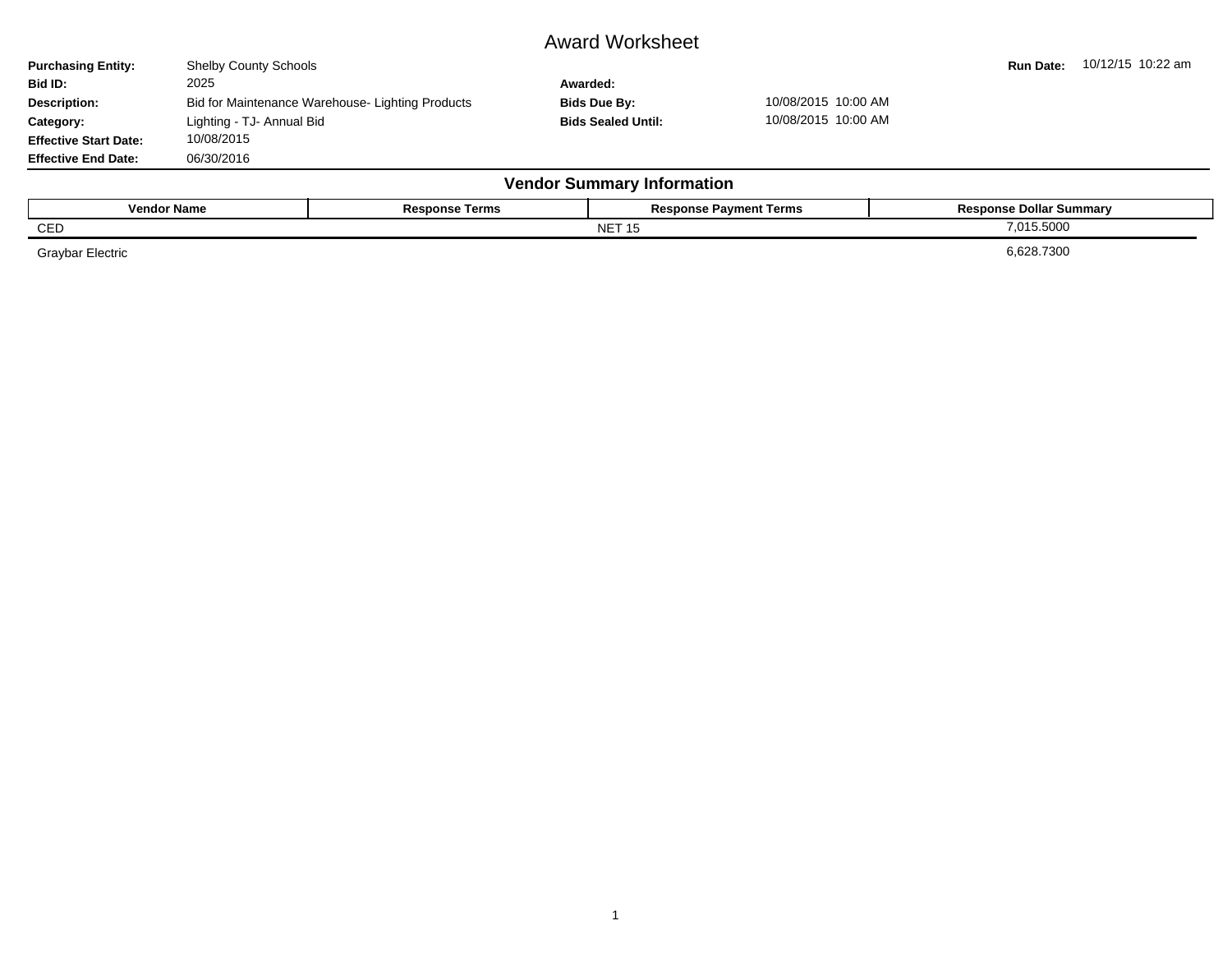## Award Worksheet

| <b>Purchasing Entity:</b>    | <b>Shelby County Schools</b> |                                                  |                                   |                               | <b>Run Date:</b>               | 10/12/15 10:22 am |
|------------------------------|------------------------------|--------------------------------------------------|-----------------------------------|-------------------------------|--------------------------------|-------------------|
| Bid ID:                      | 2025                         |                                                  | Awarded:                          |                               |                                |                   |
| <b>Description:</b>          |                              | Bid for Maintenance Warehouse- Lighting Products | Bids Due By:                      | 10/08/2015 10:00 AM           |                                |                   |
| Category:                    | Lighting - TJ- Annual Bid    |                                                  | <b>Bids Sealed Until:</b>         | 10/08/2015 10:00 AM           |                                |                   |
| <b>Effective Start Date:</b> | 10/08/2015                   |                                                  |                                   |                               |                                |                   |
| <b>Effective End Date:</b>   | 06/30/2016                   |                                                  |                                   |                               |                                |                   |
|                              |                              |                                                  | <b>Vendor Summary Information</b> |                               |                                |                   |
| <b>Vendor Name</b>           |                              | <b>Response Terms</b>                            |                                   | <b>Response Payment Terms</b> | <b>Response Dollar Summary</b> |                   |
|                              |                              |                                                  |                                   |                               |                                |                   |

 $\blacksquare$  NET 15  $\blacksquare$  7,015.5000  $\blacksquare$  7,015.5000  $\blacksquare$ 

Graybar Electric 6,628.7300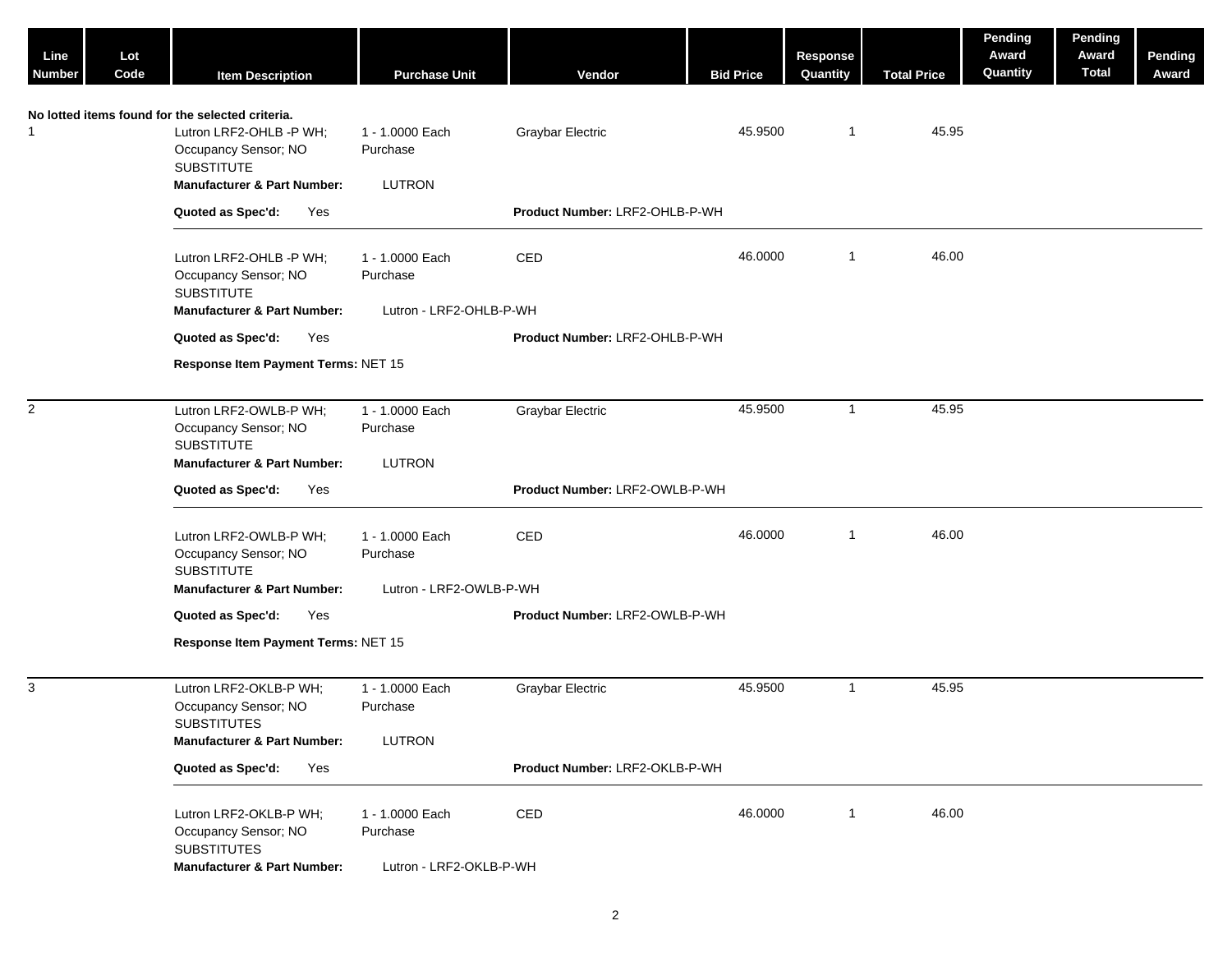| Line<br><b>Number</b> | Lot<br>Code | <b>Item Description</b>                                                                                                                                            | <b>Purchase Unit</b>                                   | Vendor                         | <b>Bid Price</b> | <b>Response</b><br>Quantity | <b>Total Price</b> | Pending<br>Award<br>Quantity | Pending<br>Award<br><b>Total</b> | <b>Pending</b><br>Award |
|-----------------------|-------------|--------------------------------------------------------------------------------------------------------------------------------------------------------------------|--------------------------------------------------------|--------------------------------|------------------|-----------------------------|--------------------|------------------------------|----------------------------------|-------------------------|
| 1                     |             | No lotted items found for the selected criteria.<br>Lutron LRF2-OHLB -P WH;<br>Occupancy Sensor; NO<br><b>SUBSTITUTE</b><br><b>Manufacturer &amp; Part Number:</b> | 1 - 1.0000 Each<br>Purchase<br><b>LUTRON</b>           | <b>Graybar Electric</b>        | 45.9500          | $\mathbf{1}$                | 45.95              |                              |                                  |                         |
|                       |             | Quoted as Spec'd:<br>Yes                                                                                                                                           |                                                        | Product Number: LRF2-OHLB-P-WH |                  |                             |                    |                              |                                  |                         |
|                       |             | Lutron LRF2-OHLB -P WH;<br>Occupancy Sensor; NO<br><b>SUBSTITUTE</b>                                                                                               | 1 - 1.0000 Each<br>Purchase                            | CED                            | 46.0000          | $\mathbf{1}$                | 46.00              |                              |                                  |                         |
|                       |             | <b>Manufacturer &amp; Part Number:</b>                                                                                                                             | Lutron - LRF2-OHLB-P-WH                                |                                |                  |                             |                    |                              |                                  |                         |
|                       |             | Quoted as Spec'd:<br>Yes<br>Response Item Payment Terms: NET 15                                                                                                    |                                                        | Product Number: LRF2-OHLB-P-WH |                  |                             |                    |                              |                                  |                         |
|                       |             |                                                                                                                                                                    |                                                        |                                |                  |                             |                    |                              |                                  |                         |
| $\overline{2}$        |             | Lutron LRF2-OWLB-P WH;<br>Occupancy Sensor; NO<br><b>SUBSTITUTE</b>                                                                                                | 1 - 1.0000 Each<br>Purchase                            | Graybar Electric               | 45.9500          | $\mathbf{1}$                | 45.95              |                              |                                  |                         |
|                       |             | <b>Manufacturer &amp; Part Number:</b>                                                                                                                             | <b>LUTRON</b>                                          |                                |                  |                             |                    |                              |                                  |                         |
|                       |             | Quoted as Spec'd:<br>Yes                                                                                                                                           |                                                        | Product Number: LRF2-OWLB-P-WH |                  |                             |                    |                              |                                  |                         |
|                       |             | Lutron LRF2-OWLB-P WH;<br>Occupancy Sensor; NO<br><b>SUBSTITUTE</b><br><b>Manufacturer &amp; Part Number:</b>                                                      | 1 - 1.0000 Each<br>Purchase<br>Lutron - LRF2-OWLB-P-WH | CED                            | 46.0000          | $\mathbf{1}$                | 46.00              |                              |                                  |                         |
|                       |             | Quoted as Spec'd:<br>Yes                                                                                                                                           |                                                        | Product Number: LRF2-OWLB-P-WH |                  |                             |                    |                              |                                  |                         |
|                       |             | Response Item Payment Terms: NET 15                                                                                                                                |                                                        |                                |                  |                             |                    |                              |                                  |                         |
|                       |             |                                                                                                                                                                    |                                                        |                                |                  |                             |                    |                              |                                  |                         |
| $\mathbf{3}$          |             | Lutron LRF2-OKLB-P WH;<br>Occupancy Sensor; NO<br><b>SUBSTITUTES</b><br><b>Manufacturer &amp; Part Number:</b>                                                     | 1 - 1.0000 Each<br>Purchase<br><b>LUTRON</b>           | <b>Graybar Electric</b>        | 45.9500          | $\mathbf{1}$                | 45.95              |                              |                                  |                         |
|                       |             | Quoted as Spec'd:<br>Yes                                                                                                                                           |                                                        | Product Number: LRF2-OKLB-P-WH |                  |                             |                    |                              |                                  |                         |
|                       |             | Lutron LRF2-OKLB-P WH;<br>Occupancy Sensor; NO<br><b>SUBSTITUTES</b><br><b>Manufacturer &amp; Part Number:</b>                                                     | 1 - 1.0000 Each<br>Purchase<br>Lutron - LRF2-OKLB-P-WH | CED                            | 46.0000          | $\mathbf 1$                 | 46.00              |                              |                                  |                         |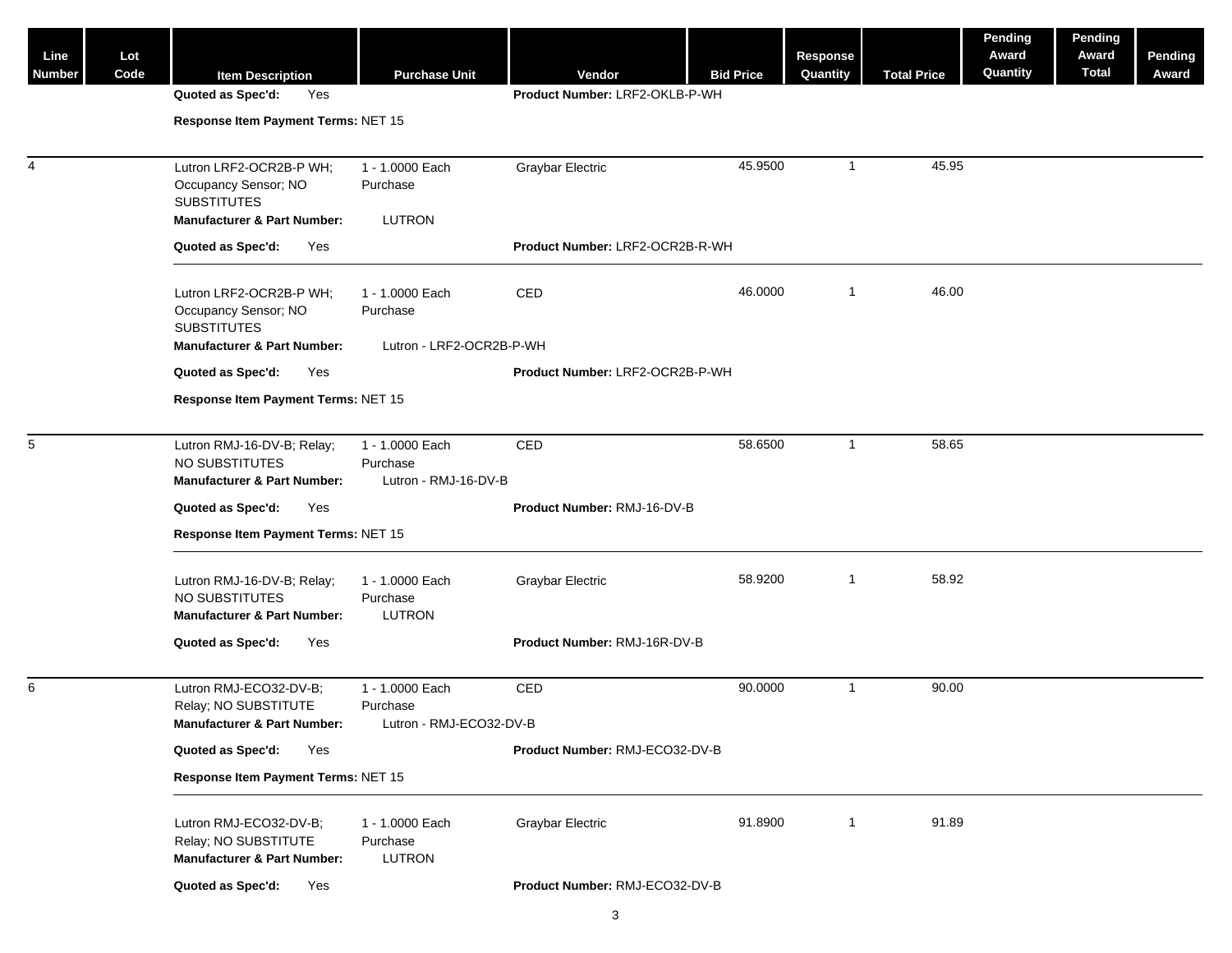| Line          | Lot  |                                                                                                                 |     |                                                        |                                 |                  | Response                |                    | Pending<br>Award | Pending<br>Award | Pending |
|---------------|------|-----------------------------------------------------------------------------------------------------------------|-----|--------------------------------------------------------|---------------------------------|------------------|-------------------------|--------------------|------------------|------------------|---------|
| <b>Number</b> | Code | <b>Item Description</b>                                                                                         |     | <b>Purchase Unit</b>                                   | Vendor                          | <b>Bid Price</b> | Quantity                | <b>Total Price</b> | Quantity         | <b>Total</b>     | Award   |
|               |      | Quoted as Spec'd:                                                                                               | Yes |                                                        | Product Number: LRF2-OKLB-P-WH  |                  |                         |                    |                  |                  |         |
|               |      | Response Item Payment Terms: NET 15                                                                             |     |                                                        |                                 |                  |                         |                    |                  |                  |         |
| 4             |      | Lutron LRF2-OCR2B-P WH;<br>Occupancy Sensor; NO<br><b>SUBSTITUTES</b><br><b>Manufacturer &amp; Part Number:</b> |     | 1 - 1.0000 Each<br>Purchase<br>LUTRON                  | <b>Graybar Electric</b>         | 45.9500          | $\overline{1}$          | 45.95              |                  |                  |         |
|               |      | Quoted as Spec'd:                                                                                               | Yes |                                                        | Product Number: LRF2-OCR2B-R-WH |                  |                         |                    |                  |                  |         |
|               |      | Lutron LRF2-OCR2B-P WH;<br>Occupancy Sensor; NO<br><b>SUBSTITUTES</b>                                           |     | 1 - 1.0000 Each<br>Purchase                            | <b>CED</b>                      | 46.0000          | $\overline{\mathbf{1}}$ | 46.00              |                  |                  |         |
|               |      | <b>Manufacturer &amp; Part Number:</b>                                                                          |     | Lutron - LRF2-OCR2B-P-WH                               |                                 |                  |                         |                    |                  |                  |         |
|               |      | Quoted as Spec'd:                                                                                               | Yes |                                                        | Product Number: LRF2-OCR2B-P-WH |                  |                         |                    |                  |                  |         |
|               |      | Response Item Payment Terms: NET 15                                                                             |     |                                                        |                                 |                  |                         |                    |                  |                  |         |
| 5             |      | Lutron RMJ-16-DV-B; Relay;<br>NO SUBSTITUTES<br><b>Manufacturer &amp; Part Number:</b>                          |     | 1 - 1.0000 Each<br>Purchase<br>Lutron - RMJ-16-DV-B    | CED                             | 58.6500          | $\overline{1}$          | 58.65              |                  |                  |         |
|               |      | Quoted as Spec'd:                                                                                               | Yes |                                                        | Product Number: RMJ-16-DV-B     |                  |                         |                    |                  |                  |         |
|               |      | Response Item Payment Terms: NET 15                                                                             |     |                                                        |                                 |                  |                         |                    |                  |                  |         |
|               |      | Lutron RMJ-16-DV-B; Relay;<br>NO SUBSTITUTES<br><b>Manufacturer &amp; Part Number:</b>                          |     | 1 - 1.0000 Each<br>Purchase<br>LUTRON                  | <b>Graybar Electric</b>         | 58.9200          | $\overline{1}$          | 58.92              |                  |                  |         |
|               |      | Quoted as Spec'd:                                                                                               | Yes |                                                        | Product Number: RMJ-16R-DV-B    |                  |                         |                    |                  |                  |         |
| 6             |      | Lutron RMJ-ECO32-DV-B;<br>Relay; NO SUBSTITUTE<br><b>Manufacturer &amp; Part Number:</b>                        |     | 1 - 1.0000 Each<br>Purchase<br>Lutron - RMJ-ECO32-DV-B | CED                             | 90.0000          | $\overline{1}$          | 90.00              |                  |                  |         |
|               |      | Quoted as Spec'd:                                                                                               | Yes |                                                        | Product Number: RMJ-ECO32-DV-B  |                  |                         |                    |                  |                  |         |
|               |      | Response Item Payment Terms: NET 15                                                                             |     |                                                        |                                 |                  |                         |                    |                  |                  |         |
|               |      |                                                                                                                 |     |                                                        |                                 |                  |                         |                    |                  |                  |         |
|               |      | Lutron RMJ-ECO32-DV-B;<br>Relay; NO SUBSTITUTE<br><b>Manufacturer &amp; Part Number:</b>                        |     | 1 - 1.0000 Each<br>Purchase<br>LUTRON                  | <b>Graybar Electric</b>         | 91.8900          | $\overline{1}$          | 91.89              |                  |                  |         |
|               |      | Quoted as Spec'd:                                                                                               | Yes |                                                        | Product Number: RMJ-ECO32-DV-B  |                  |                         |                    |                  |                  |         |
|               |      |                                                                                                                 |     |                                                        |                                 |                  |                         |                    |                  |                  |         |

3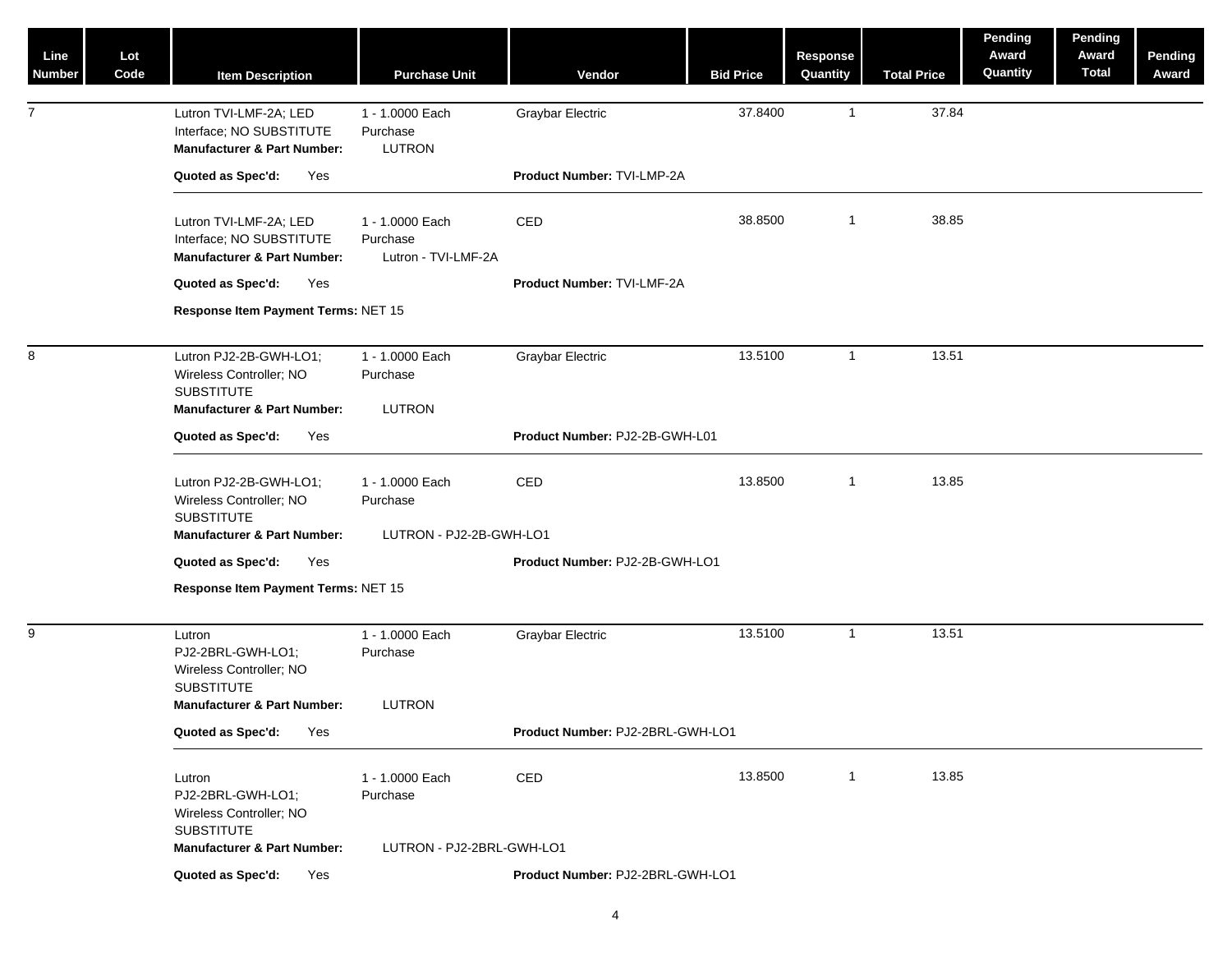| Line<br><b>Number</b> | Lot<br>Code | <b>Item Description</b>                                                                                               | <b>Purchase Unit</b>                               | Vendor                           | <b>Bid Price</b> | <b>Response</b><br>Quantity | <b>Total Price</b> | Pending<br>Award<br>Quantity | Pending<br>Award<br><b>Total</b> | Pending<br>Award |
|-----------------------|-------------|-----------------------------------------------------------------------------------------------------------------------|----------------------------------------------------|----------------------------------|------------------|-----------------------------|--------------------|------------------------------|----------------------------------|------------------|
| $\overline{7}$        |             | Lutron TVI-LMF-2A; LED<br>Interface; NO SUBSTITUTE<br><b>Manufacturer &amp; Part Number:</b>                          | 1 - 1.0000 Each<br>Purchase<br><b>LUTRON</b>       | <b>Graybar Electric</b>          | 37.8400          | $\mathbf{1}$                | 37.84              |                              |                                  |                  |
|                       |             | Quoted as Spec'd:<br>Yes                                                                                              |                                                    | Product Number: TVI-LMP-2A       |                  |                             |                    |                              |                                  |                  |
|                       |             | Lutron TVI-LMF-2A; LED<br>Interface; NO SUBSTITUTE<br><b>Manufacturer &amp; Part Number:</b>                          | 1 - 1.0000 Each<br>Purchase<br>Lutron - TVI-LMF-2A | CED                              | 38.8500          | $\mathbf{1}$                | 38.85              |                              |                                  |                  |
|                       |             | Quoted as Spec'd:<br>Yes                                                                                              |                                                    | Product Number: TVI-LMF-2A       |                  |                             |                    |                              |                                  |                  |
|                       |             | Response Item Payment Terms: NET 15                                                                                   |                                                    |                                  |                  |                             |                    |                              |                                  |                  |
| 8                     |             | Lutron PJ2-2B-GWH-LO1;<br>Wireless Controller; NO<br><b>SUBSTITUTE</b>                                                | 1 - 1.0000 Each<br>Purchase                        | <b>Graybar Electric</b>          | 13.5100          | $\mathbf{1}$                | 13.51              |                              |                                  |                  |
|                       |             | <b>Manufacturer &amp; Part Number:</b>                                                                                | <b>LUTRON</b>                                      | Product Number: PJ2-2B-GWH-L01   |                  |                             |                    |                              |                                  |                  |
|                       |             | Quoted as Spec'd:<br>Yes                                                                                              |                                                    |                                  |                  |                             |                    |                              |                                  |                  |
|                       |             | Lutron PJ2-2B-GWH-LO1;<br>Wireless Controller; NO<br><b>SUBSTITUTE</b>                                                | 1 - 1.0000 Each<br>Purchase                        | CED                              | 13.8500          | $\mathbf{1}$                | 13.85              |                              |                                  |                  |
|                       |             | <b>Manufacturer &amp; Part Number:</b>                                                                                | LUTRON - PJ2-2B-GWH-LO1                            |                                  |                  |                             |                    |                              |                                  |                  |
|                       |             | Quoted as Spec'd:<br>Yes                                                                                              |                                                    | Product Number: PJ2-2B-GWH-LO1   |                  |                             |                    |                              |                                  |                  |
|                       |             | Response Item Payment Terms: NET 15                                                                                   |                                                    |                                  |                  |                             |                    |                              |                                  |                  |
| 9                     |             | Lutron<br>PJ2-2BRL-GWH-LO1;<br>Wireless Controller; NO<br><b>SUBSTITUTE</b><br><b>Manufacturer &amp; Part Number:</b> | 1 - 1.0000 Each<br>Purchase<br><b>LUTRON</b>       | <b>Graybar Electric</b>          | 13.5100          | $\mathbf{1}$                | 13.51              |                              |                                  |                  |
|                       |             | Quoted as Spec'd:<br>Yes                                                                                              |                                                    | Product Number: PJ2-2BRL-GWH-LO1 |                  |                             |                    |                              |                                  |                  |
|                       |             |                                                                                                                       |                                                    |                                  |                  |                             |                    |                              |                                  |                  |
|                       |             | Lutron<br>PJ2-2BRL-GWH-LO1;<br>Wireless Controller; NO<br><b>SUBSTITUTE</b>                                           | 1 - 1.0000 Each<br>Purchase                        | CED                              | 13.8500          | $\mathbf{1}$                | 13.85              |                              |                                  |                  |
|                       |             | <b>Manufacturer &amp; Part Number:</b>                                                                                | LUTRON - PJ2-2BRL-GWH-LO1                          |                                  |                  |                             |                    |                              |                                  |                  |
|                       |             | Quoted as Spec'd:<br>Yes                                                                                              |                                                    | Product Number: PJ2-2BRL-GWH-LO1 |                  |                             |                    |                              |                                  |                  |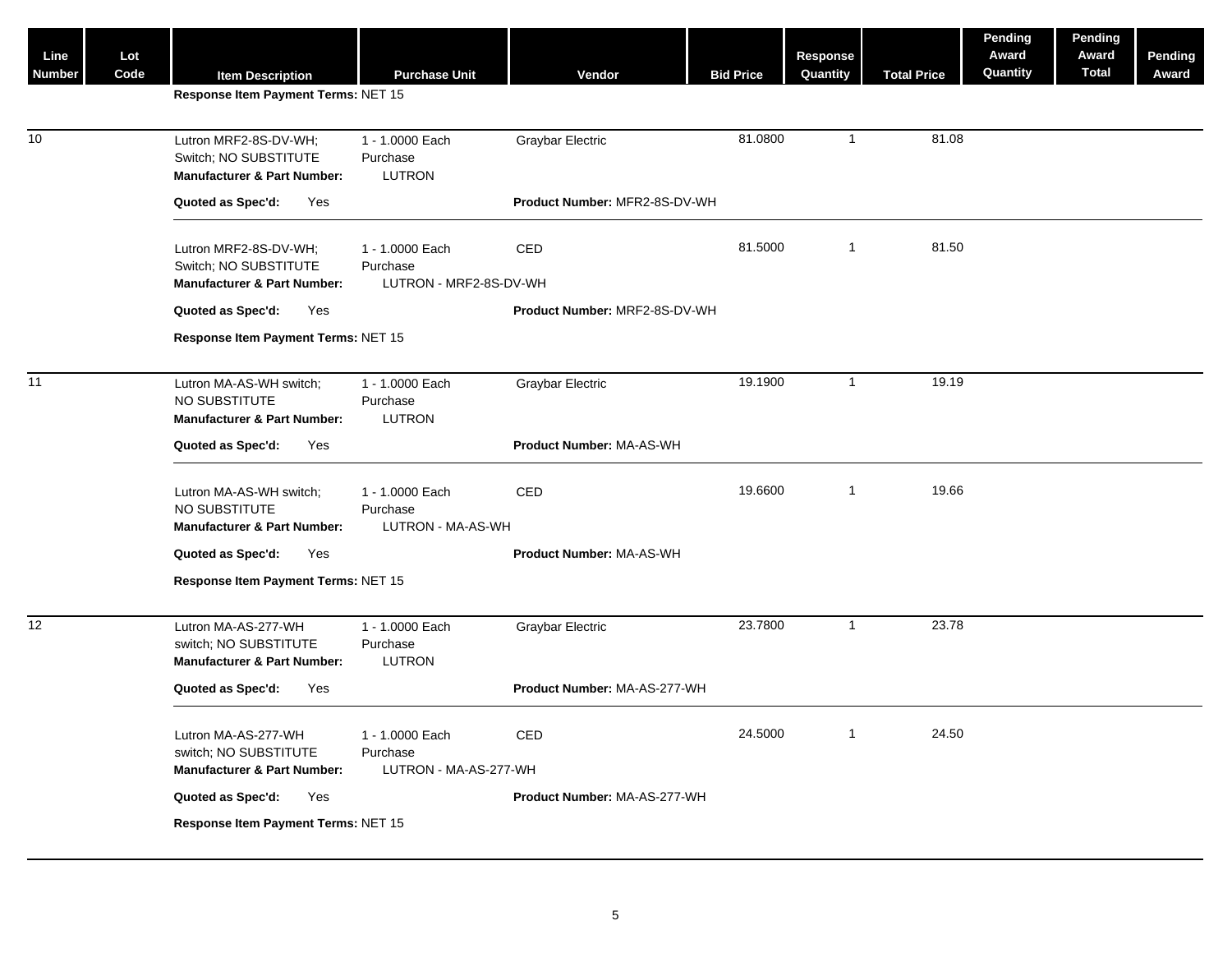| Line<br><b>Number</b> | Lot<br>Code | <b>Item Description</b>                                                                  | <b>Purchase Unit</b>                                  | Vendor                        | <b>Bid Price</b> | <b>Response</b><br>Quantity | <b>Total Price</b> | Pending<br>Award<br>Quantity | Pending<br>Award<br><b>Total</b> | Pending<br>Award |
|-----------------------|-------------|------------------------------------------------------------------------------------------|-------------------------------------------------------|-------------------------------|------------------|-----------------------------|--------------------|------------------------------|----------------------------------|------------------|
|                       |             | Response Item Payment Terms: NET 15                                                      |                                                       |                               |                  |                             |                    |                              |                                  |                  |
| 10                    |             | Lutron MRF2-8S-DV-WH;<br>Switch; NO SUBSTITUTE<br><b>Manufacturer &amp; Part Number:</b> | 1 - 1.0000 Each<br>Purchase<br><b>LUTRON</b>          | <b>Graybar Electric</b>       | 81.0800          | $\mathbf{1}$                | 81.08              |                              |                                  |                  |
|                       |             | Quoted as Spec'd:<br>Yes                                                                 |                                                       | Product Number: MFR2-8S-DV-WH |                  |                             |                    |                              |                                  |                  |
|                       |             | Lutron MRF2-8S-DV-WH;<br>Switch; NO SUBSTITUTE<br><b>Manufacturer &amp; Part Number:</b> | 1 - 1.0000 Each<br>Purchase<br>LUTRON - MRF2-8S-DV-WH | CED                           | 81.5000          | $\mathbf{1}$                | 81.50              |                              |                                  |                  |
|                       |             | Quoted as Spec'd:<br>Yes                                                                 |                                                       | Product Number: MRF2-8S-DV-WH |                  |                             |                    |                              |                                  |                  |
|                       |             | Response Item Payment Terms: NET 15                                                      |                                                       |                               |                  |                             |                    |                              |                                  |                  |
| 11                    |             | Lutron MA-AS-WH switch;<br>NO SUBSTITUTE<br><b>Manufacturer &amp; Part Number:</b>       | 1 - 1.0000 Each<br>Purchase<br>LUTRON                 | Graybar Electric              | 19.1900          | $\mathbf{1}$                | 19.19              |                              |                                  |                  |
|                       |             | Quoted as Spec'd:<br>Yes                                                                 |                                                       | Product Number: MA-AS-WH      |                  |                             |                    |                              |                                  |                  |
|                       |             | Lutron MA-AS-WH switch;<br>NO SUBSTITUTE<br><b>Manufacturer &amp; Part Number:</b>       | 1 - 1.0000 Each<br>Purchase<br>LUTRON - MA-AS-WH      | CED                           | 19.6600          | $\mathbf{1}$                | 19.66              |                              |                                  |                  |
|                       |             | Quoted as Spec'd:<br>Yes                                                                 |                                                       | Product Number: MA-AS-WH      |                  |                             |                    |                              |                                  |                  |
|                       |             | Response Item Payment Terms: NET 15                                                      |                                                       |                               |                  |                             |                    |                              |                                  |                  |
| 12                    |             | Lutron MA-AS-277-WH<br>switch; NO SUBSTITUTE<br><b>Manufacturer &amp; Part Number:</b>   | 1 - 1.0000 Each<br>Purchase<br>LUTRON                 | <b>Graybar Electric</b>       | 23.7800          | $\mathbf{1}$                | 23.78              |                              |                                  |                  |
|                       |             | Quoted as Spec'd:<br>Yes                                                                 |                                                       | Product Number: MA-AS-277-WH  |                  |                             |                    |                              |                                  |                  |
|                       |             | Lutron MA-AS-277-WH<br>switch; NO SUBSTITUTE                                             | 1 - 1.0000 Each<br>Purchase                           | CED                           | 24.5000          | $\overline{1}$              | 24.50              |                              |                                  |                  |
|                       |             | <b>Manufacturer &amp; Part Number:</b><br>Quoted as Spec'd:<br>Yes                       | LUTRON - MA-AS-277-WH                                 | Product Number: MA-AS-277-WH  |                  |                             |                    |                              |                                  |                  |
|                       |             | Response Item Payment Terms: NET 15                                                      |                                                       |                               |                  |                             |                    |                              |                                  |                  |
|                       |             |                                                                                          |                                                       |                               |                  |                             |                    |                              |                                  |                  |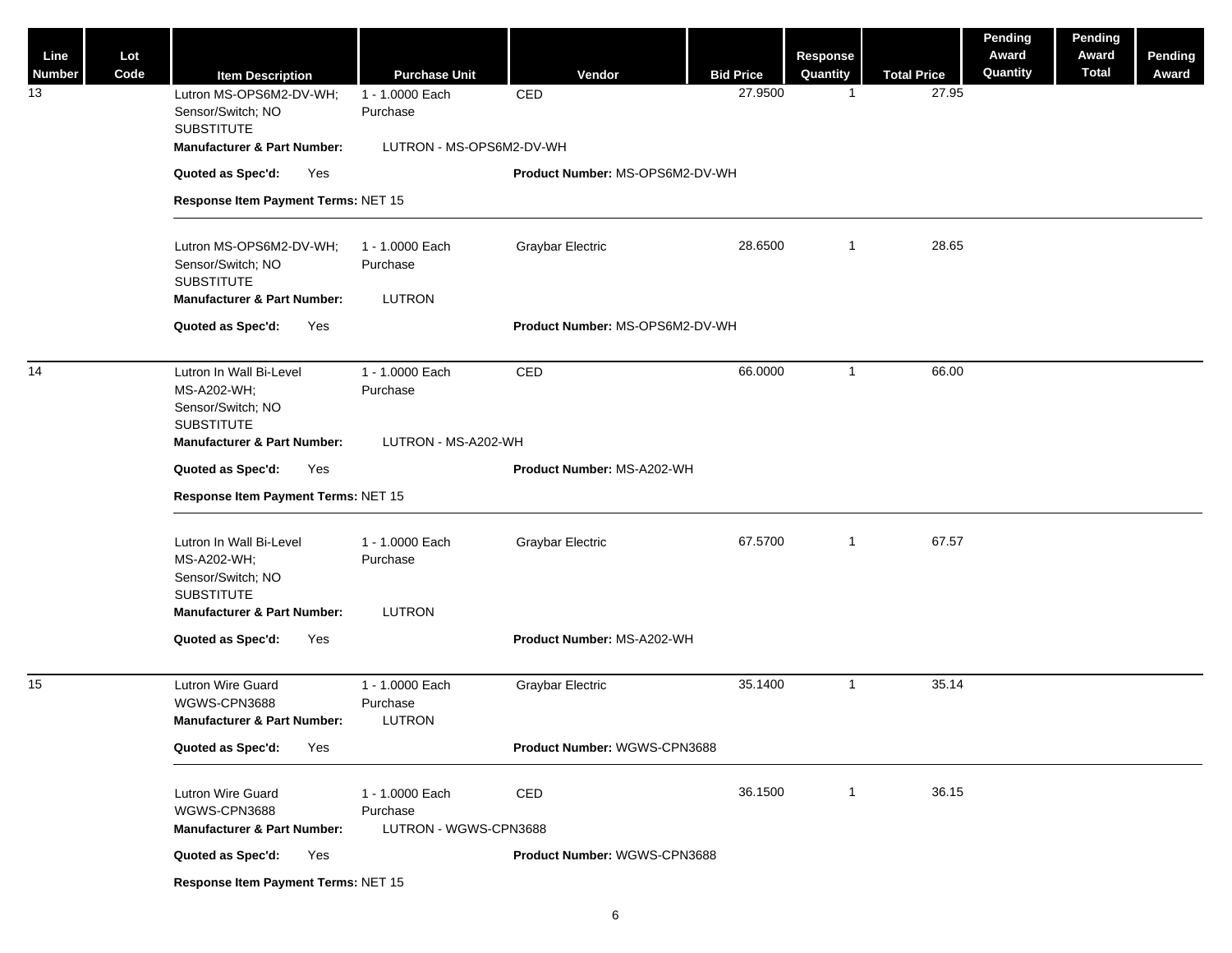| Line<br>Number  | Lot<br>Code | <b>Item Description</b>                                                          | <b>Purchase Unit</b>                                 | Vendor                          | <b>Bid Price</b> | Response<br>Quantity | <b>Total Price</b> | <b>Pending</b><br>Award<br>Quantity | Pending<br>Award<br><b>Total</b> | Pending<br>Award |
|-----------------|-------------|----------------------------------------------------------------------------------|------------------------------------------------------|---------------------------------|------------------|----------------------|--------------------|-------------------------------------|----------------------------------|------------------|
| 13              |             | Lutron MS-OPS6M2-DV-WH;                                                          | 1 - 1.0000 Each                                      | CED                             | 27.9500          | $\overline{1}$       | 27.95              |                                     |                                  |                  |
|                 |             | Sensor/Switch; NO<br><b>SUBSTITUTE</b>                                           | Purchase                                             |                                 |                  |                      |                    |                                     |                                  |                  |
|                 |             | <b>Manufacturer &amp; Part Number:</b>                                           | LUTRON - MS-OPS6M2-DV-WH                             |                                 |                  |                      |                    |                                     |                                  |                  |
|                 |             | Quoted as Spec'd:<br>Yes                                                         |                                                      | Product Number: MS-OPS6M2-DV-WH |                  |                      |                    |                                     |                                  |                  |
|                 |             | Response Item Payment Terms: NET 15                                              |                                                      |                                 |                  |                      |                    |                                     |                                  |                  |
|                 |             |                                                                                  |                                                      |                                 | 28.6500          | $\overline{1}$       | 28.65              |                                     |                                  |                  |
|                 |             | Lutron MS-OPS6M2-DV-WH;<br>Sensor/Switch; NO                                     | 1 - 1.0000 Each<br>Purchase                          | <b>Graybar Electric</b>         |                  |                      |                    |                                     |                                  |                  |
|                 |             | <b>SUBSTITUTE</b><br><b>Manufacturer &amp; Part Number:</b>                      | LUTRON                                               |                                 |                  |                      |                    |                                     |                                  |                  |
|                 |             | Quoted as Spec'd:<br>Yes                                                         |                                                      | Product Number: MS-OPS6M2-DV-WH |                  |                      |                    |                                     |                                  |                  |
|                 |             |                                                                                  |                                                      |                                 |                  |                      |                    |                                     |                                  |                  |
| 14              |             | Lutron In Wall Bi-Level<br>MS-A202-WH;                                           | 1 - 1.0000 Each<br>Purchase                          | CED                             | 66.0000          | $\overline{1}$       | 66.00              |                                     |                                  |                  |
|                 |             | Sensor/Switch; NO<br><b>SUBSTITUTE</b>                                           |                                                      |                                 |                  |                      |                    |                                     |                                  |                  |
|                 |             | <b>Manufacturer &amp; Part Number:</b>                                           | LUTRON - MS-A202-WH                                  |                                 |                  |                      |                    |                                     |                                  |                  |
|                 |             | Quoted as Spec'd:<br>Yes                                                         |                                                      | Product Number: MS-A202-WH      |                  |                      |                    |                                     |                                  |                  |
|                 |             | Response Item Payment Terms: NET 15                                              |                                                      |                                 |                  |                      |                    |                                     |                                  |                  |
|                 |             | Lutron In Wall Bi-Level<br>MS-A202-WH;<br>Sensor/Switch; NO<br><b>SUBSTITUTE</b> | 1 - 1.0000 Each<br>Purchase                          | <b>Graybar Electric</b>         | 67.5700          | $\overline{1}$       | 67.57              |                                     |                                  |                  |
|                 |             | <b>Manufacturer &amp; Part Number:</b>                                           | LUTRON                                               |                                 |                  |                      |                    |                                     |                                  |                  |
|                 |             | Quoted as Spec'd:<br>Yes                                                         |                                                      | Product Number: MS-A202-WH      |                  |                      |                    |                                     |                                  |                  |
| 15 <sub>1</sub> |             | Lutron Wire Guard<br>WGWS-CPN3688<br><b>Manufacturer &amp; Part Number:</b>      | 1 - 1.0000 Each<br>Purchase<br>LUTRON                | <b>Graybar Electric</b>         | 35.1400          | $\overline{1}$       | 35.14              |                                     |                                  |                  |
|                 |             | Quoted as Spec'd:<br>Yes                                                         |                                                      | Product Number: WGWS-CPN3688    |                  |                      |                    |                                     |                                  |                  |
|                 |             | Lutron Wire Guard<br>WGWS-CPN3688<br><b>Manufacturer &amp; Part Number:</b>      | 1 - 1.0000 Each<br>Purchase<br>LUTRON - WGWS-CPN3688 | CED                             | 36.1500          | $\overline{1}$       | 36.15              |                                     |                                  |                  |
|                 |             | Quoted as Spec'd:<br>Yes                                                         |                                                      | Product Number: WGWS-CPN3688    |                  |                      |                    |                                     |                                  |                  |
|                 |             | Response Item Payment Terms: NET 15                                              |                                                      |                                 |                  |                      |                    |                                     |                                  |                  |
|                 |             |                                                                                  |                                                      |                                 |                  |                      |                    |                                     |                                  |                  |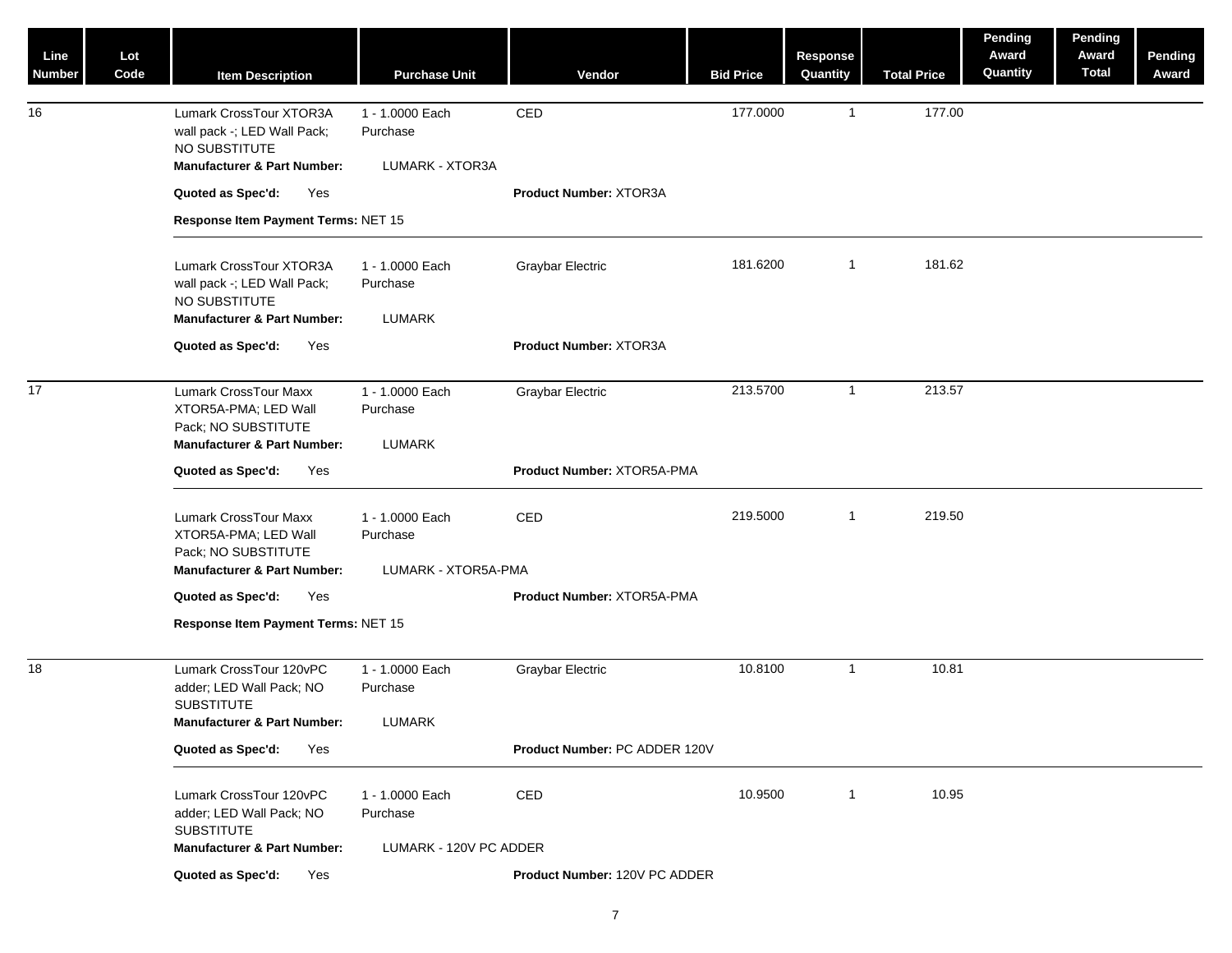| Line<br>Number | Lot<br>Code | <b>Item Description</b>                                                                                               | <b>Purchase Unit</b>                               | Vendor                        | <b>Bid Price</b> | Response<br>Quantity | <b>Total Price</b> | Pending<br>Award<br>Quantity | Pending<br>Award<br><b>Total</b> | Pending<br>Award |
|----------------|-------------|-----------------------------------------------------------------------------------------------------------------------|----------------------------------------------------|-------------------------------|------------------|----------------------|--------------------|------------------------------|----------------------------------|------------------|
| 16             |             | Lumark CrossTour XTOR3A<br>wall pack -; LED Wall Pack;<br>NO SUBSTITUTE<br><b>Manufacturer &amp; Part Number:</b>     | 1 - 1.0000 Each<br>Purchase<br>LUMARK - XTOR3A     | CED                           | 177.0000         | $\overline{1}$       | 177.00             |                              |                                  |                  |
|                |             | Quoted as Spec'd:<br>Yes                                                                                              |                                                    | <b>Product Number: XTOR3A</b> |                  |                      |                    |                              |                                  |                  |
|                |             | Response Item Payment Terms: NET 15                                                                                   |                                                    |                               |                  |                      |                    |                              |                                  |                  |
|                |             |                                                                                                                       |                                                    |                               |                  |                      |                    |                              |                                  |                  |
|                |             | Lumark CrossTour XTOR3A<br>wall pack -; LED Wall Pack;<br>NO SUBSTITUTE<br><b>Manufacturer &amp; Part Number:</b>     | 1 - 1.0000 Each<br>Purchase<br>LUMARK              | <b>Graybar Electric</b>       | 181.6200         | $\overline{1}$       | 181.62             |                              |                                  |                  |
|                |             | Quoted as Spec'd:<br>Yes                                                                                              |                                                    | <b>Product Number: XTOR3A</b> |                  |                      |                    |                              |                                  |                  |
| 17             |             | <b>Lumark CrossTour Maxx</b><br>XTOR5A-PMA; LED Wall<br>Pack; NO SUBSTITUTE<br><b>Manufacturer &amp; Part Number:</b> | 1 - 1.0000 Each<br>Purchase<br><b>LUMARK</b>       | <b>Graybar Electric</b>       | 213.5700         | $\overline{1}$       | 213.57             |                              |                                  |                  |
|                |             | Quoted as Spec'd:<br>Yes                                                                                              |                                                    | Product Number: XTOR5A-PMA    |                  |                      |                    |                              |                                  |                  |
|                |             | Lumark CrossTour Maxx<br>XTOR5A-PMA; LED Wall<br>Pack; NO SUBSTITUTE<br><b>Manufacturer &amp; Part Number:</b>        | 1 - 1.0000 Each<br>Purchase<br>LUMARK - XTOR5A-PMA | CED                           | 219.5000         | $\overline{1}$       | 219.50             |                              |                                  |                  |
|                |             | Quoted as Spec'd:<br>Yes                                                                                              |                                                    | Product Number: XTOR5A-PMA    |                  |                      |                    |                              |                                  |                  |
|                |             | Response Item Payment Terms: NET 15                                                                                   |                                                    |                               |                  |                      |                    |                              |                                  |                  |
| 18             |             | Lumark CrossTour 120vPC<br>adder; LED Wall Pack; NO<br><b>SUBSTITUTE</b>                                              | 1 - 1.0000 Each<br>Purchase                        | Graybar Electric              | 10.8100          | $\overline{1}$       | 10.81              |                              |                                  |                  |
|                |             | <b>Manufacturer &amp; Part Number:</b>                                                                                | LUMARK                                             |                               |                  |                      |                    |                              |                                  |                  |
|                |             | Quoted as Spec'd:<br>Yes                                                                                              |                                                    | Product Number: PC ADDER 120V |                  |                      |                    |                              |                                  |                  |
|                |             | Lumark CrossTour 120vPC<br>adder; LED Wall Pack; NO<br><b>SUBSTITUTE</b>                                              | 1 - 1.0000 Each<br>Purchase                        | CED                           | 10.9500          | $\overline{1}$       | 10.95              |                              |                                  |                  |
|                |             | <b>Manufacturer &amp; Part Number:</b>                                                                                | LUMARK - 120V PC ADDER                             |                               |                  |                      |                    |                              |                                  |                  |
|                |             | Quoted as Spec'd:<br>Yes                                                                                              |                                                    | Product Number: 120V PC ADDER |                  |                      |                    |                              |                                  |                  |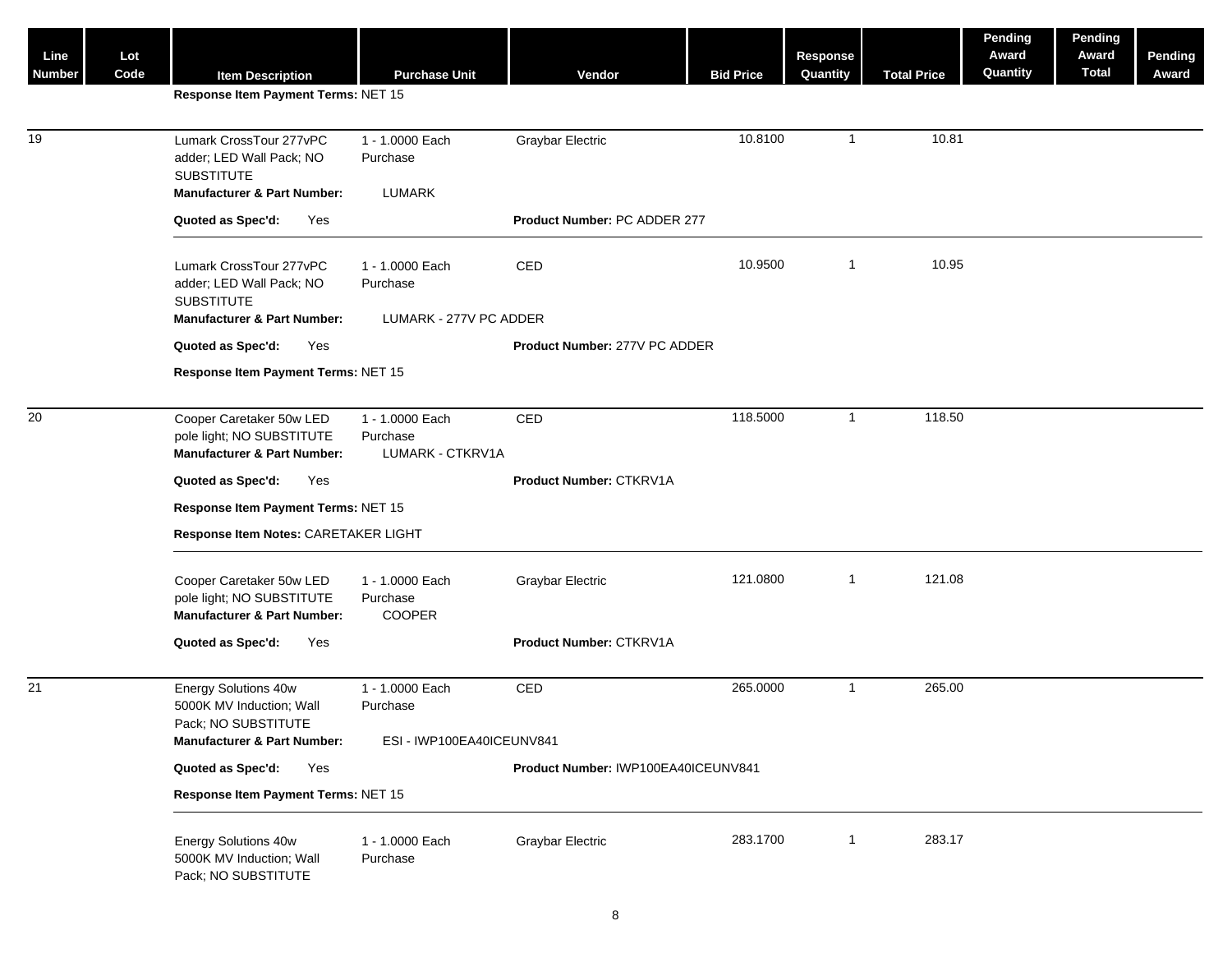| Line<br><b>Number</b> | Lot<br>Code |                                                                                                                    | <b>Purchase Unit</b>                                  | Vendor                              | <b>Bid Price</b> | <b>Response</b><br>Quantity | <b>Total Price</b> | Pending<br>Award<br>Quantity | Pending<br>Award<br><b>Total</b> | Pending<br>Award |
|-----------------------|-------------|--------------------------------------------------------------------------------------------------------------------|-------------------------------------------------------|-------------------------------------|------------------|-----------------------------|--------------------|------------------------------|----------------------------------|------------------|
|                       |             | <b>Item Description</b><br>Response Item Payment Terms: NET 15                                                     |                                                       |                                     |                  |                             |                    |                              |                                  |                  |
|                       |             |                                                                                                                    |                                                       |                                     |                  |                             |                    |                              |                                  |                  |
| 19                    |             | Lumark CrossTour 277vPC<br>adder; LED Wall Pack; NO<br><b>SUBSTITUTE</b>                                           | 1 - 1.0000 Each<br>Purchase                           | Graybar Electric                    | 10.8100          | $\overline{1}$              | 10.81              |                              |                                  |                  |
|                       |             | <b>Manufacturer &amp; Part Number:</b>                                                                             | <b>LUMARK</b>                                         |                                     |                  |                             |                    |                              |                                  |                  |
|                       |             | Quoted as Spec'd:<br>Yes                                                                                           |                                                       | Product Number: PC ADDER 277        |                  |                             |                    |                              |                                  |                  |
|                       |             | Lumark CrossTour 277vPC<br>adder; LED Wall Pack; NO<br><b>SUBSTITUTE</b><br><b>Manufacturer &amp; Part Number:</b> | 1 - 1.0000 Each<br>Purchase<br>LUMARK - 277V PC ADDER | CED                                 | 10.9500          | $\overline{1}$              | 10.95              |                              |                                  |                  |
|                       |             | Quoted as Spec'd:<br>Yes                                                                                           |                                                       | Product Number: 277V PC ADDER       |                  |                             |                    |                              |                                  |                  |
|                       |             | Response Item Payment Terms: NET 15                                                                                |                                                       |                                     |                  |                             |                    |                              |                                  |                  |
|                       |             |                                                                                                                    |                                                       |                                     |                  |                             |                    |                              |                                  |                  |
| 20                    |             | Cooper Caretaker 50w LED<br>pole light; NO SUBSTITUTE<br><b>Manufacturer &amp; Part Number:</b>                    | 1 - 1.0000 Each<br>Purchase<br>LUMARK - CTKRV1A       | CED                                 | 118.5000         | $\overline{1}$              | 118.50             |                              |                                  |                  |
|                       |             | Quoted as Spec'd:<br>Yes                                                                                           |                                                       | Product Number: CTKRV1A             |                  |                             |                    |                              |                                  |                  |
|                       |             | Response Item Payment Terms: NET 15                                                                                |                                                       |                                     |                  |                             |                    |                              |                                  |                  |
|                       |             | Response Item Notes: CARETAKER LIGHT                                                                               |                                                       |                                     |                  |                             |                    |                              |                                  |                  |
|                       |             |                                                                                                                    |                                                       |                                     |                  |                             |                    |                              |                                  |                  |
|                       |             | Cooper Caretaker 50w LED<br>pole light; NO SUBSTITUTE<br><b>Manufacturer &amp; Part Number:</b>                    | 1 - 1.0000 Each<br>Purchase<br>COOPER                 | <b>Graybar Electric</b>             | 121.0800         | $\overline{1}$              | 121.08             |                              |                                  |                  |
|                       |             | Quoted as Spec'd:<br>Yes                                                                                           |                                                       | Product Number: CTKRV1A             |                  |                             |                    |                              |                                  |                  |
|                       |             |                                                                                                                    |                                                       |                                     |                  |                             |                    |                              |                                  |                  |
| 21                    |             | Energy Solutions 40w<br>5000K MV Induction; Wall<br>Pack; NO SUBSTITUTE                                            | 1 - 1.0000 Each<br>Purchase                           | CED                                 | 265.0000         | $\overline{1}$              | 265.00             |                              |                                  |                  |
|                       |             | <b>Manufacturer &amp; Part Number:</b>                                                                             | ESI - IWP100EA40ICEUNV841                             |                                     |                  |                             |                    |                              |                                  |                  |
|                       |             | Quoted as Spec'd:<br>Yes                                                                                           |                                                       | Product Number: IWP100EA40ICEUNV841 |                  |                             |                    |                              |                                  |                  |
|                       |             | Response Item Payment Terms: NET 15                                                                                |                                                       |                                     |                  |                             |                    |                              |                                  |                  |
|                       |             | Energy Solutions 40w<br>5000K MV Induction; Wall<br>Pack; NO SUBSTITUTE                                            | 1 - 1.0000 Each<br>Purchase                           | <b>Graybar Electric</b>             | 283.1700         | $\overline{1}$              | 283.17             |                              |                                  |                  |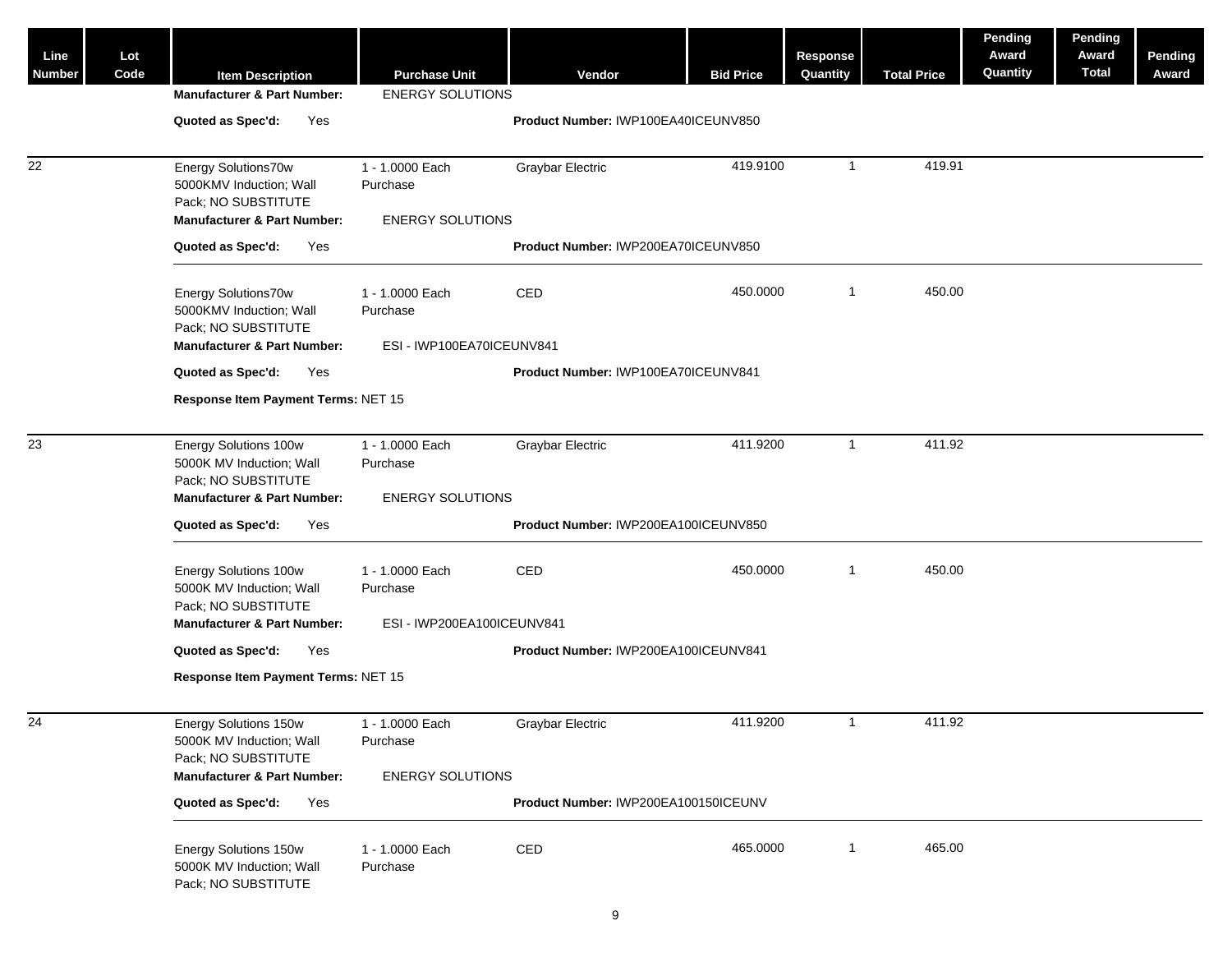| Line<br>Number | Lot<br>Code | <b>Item Description</b><br><b>Manufacturer &amp; Part Number:</b>                                                  | <b>Purchase Unit</b><br><b>ENERGY SOLUTIONS</b>          | Vendor                               | <b>Bid Price</b> | <b>Response</b><br>Quantity | <b>Total Price</b> | Pending<br>Award<br>Quantity | Pending<br>Award<br><b>Total</b> | <b>Pending</b><br>Award |
|----------------|-------------|--------------------------------------------------------------------------------------------------------------------|----------------------------------------------------------|--------------------------------------|------------------|-----------------------------|--------------------|------------------------------|----------------------------------|-------------------------|
|                |             | Quoted as Spec'd:<br>Yes                                                                                           |                                                          | Product Number: IWP100EA40ICEUNV850  |                  |                             |                    |                              |                                  |                         |
| 22             |             | Energy Solutions70w<br>5000KMV Induction; Wall<br>Pack; NO SUBSTITUTE<br><b>Manufacturer &amp; Part Number:</b>    | 1 - 1.0000 Each<br>Purchase<br><b>ENERGY SOLUTIONS</b>   | Graybar Electric                     | 419.9100         | $\overline{1}$              | 419.91             |                              |                                  |                         |
|                |             | Quoted as Spec'd:<br>Yes                                                                                           |                                                          | Product Number: IWP200EA70ICEUNV850  |                  |                             |                    |                              |                                  |                         |
|                |             | Energy Solutions70w<br>5000KMV Induction; Wall<br>Pack; NO SUBSTITUTE<br><b>Manufacturer &amp; Part Number:</b>    | 1 - 1.0000 Each<br>Purchase<br>ESI - IWP100EA70ICEUNV841 | <b>CED</b>                           | 450.0000         | $\overline{1}$              | 450.00             |                              |                                  |                         |
|                |             | Quoted as Spec'd:<br>Yes                                                                                           |                                                          | Product Number: IWP100EA70ICEUNV841  |                  |                             |                    |                              |                                  |                         |
|                |             | Response Item Payment Terms: NET 15                                                                                |                                                          |                                      |                  |                             |                    |                              |                                  |                         |
|                |             |                                                                                                                    |                                                          |                                      |                  |                             |                    |                              |                                  |                         |
| 23             |             | Energy Solutions 100w<br>5000K MV Induction; Wall<br>Pack; NO SUBSTITUTE<br><b>Manufacturer &amp; Part Number:</b> | 1 - 1.0000 Each<br>Purchase<br><b>ENERGY SOLUTIONS</b>   | Graybar Electric                     | 411.9200         | $\overline{1}$              | 411.92             |                              |                                  |                         |
|                |             | Quoted as Spec'd:<br>Yes                                                                                           |                                                          | Product Number: IWP200EA100ICEUNV850 |                  |                             |                    |                              |                                  |                         |
|                |             |                                                                                                                    |                                                          |                                      |                  |                             |                    |                              |                                  |                         |
|                |             | Energy Solutions 100w<br>5000K MV Induction; Wall<br>Pack; NO SUBSTITUTE                                           | 1 - 1.0000 Each<br>Purchase                              | CED                                  | 450.0000         | $\overline{1}$              | 450.00             |                              |                                  |                         |
|                |             | <b>Manufacturer &amp; Part Number:</b>                                                                             | ESI - IWP200EA100ICEUNV841                               |                                      |                  |                             |                    |                              |                                  |                         |
|                |             | Quoted as Spec'd:<br>Yes                                                                                           |                                                          | Product Number: IWP200EA100ICEUNV841 |                  |                             |                    |                              |                                  |                         |
|                |             | Response Item Payment Terms: NET 15                                                                                |                                                          |                                      |                  |                             |                    |                              |                                  |                         |
| 24             |             | Energy Solutions 150w<br>5000K MV Induction; Wall<br>Pack; NO SUBSTITUTE<br><b>Manufacturer &amp; Part Number:</b> | 1 - 1.0000 Each<br>Purchase<br><b>ENERGY SOLUTIONS</b>   | <b>Graybar Electric</b>              | 411.9200         | $\overline{1}$              | 411.92             |                              |                                  |                         |
|                |             | Quoted as Spec'd:<br>Yes                                                                                           |                                                          | Product Number: IWP200EA100150ICEUNV |                  |                             |                    |                              |                                  |                         |
|                |             |                                                                                                                    |                                                          |                                      |                  |                             |                    |                              |                                  |                         |
|                |             | Energy Solutions 150w<br>5000K MV Induction; Wall<br>Pack; NO SUBSTITUTE                                           | 1 - 1.0000 Each<br>Purchase                              | CED                                  | 465.0000         | $\overline{1}$              | 465.00             |                              |                                  |                         |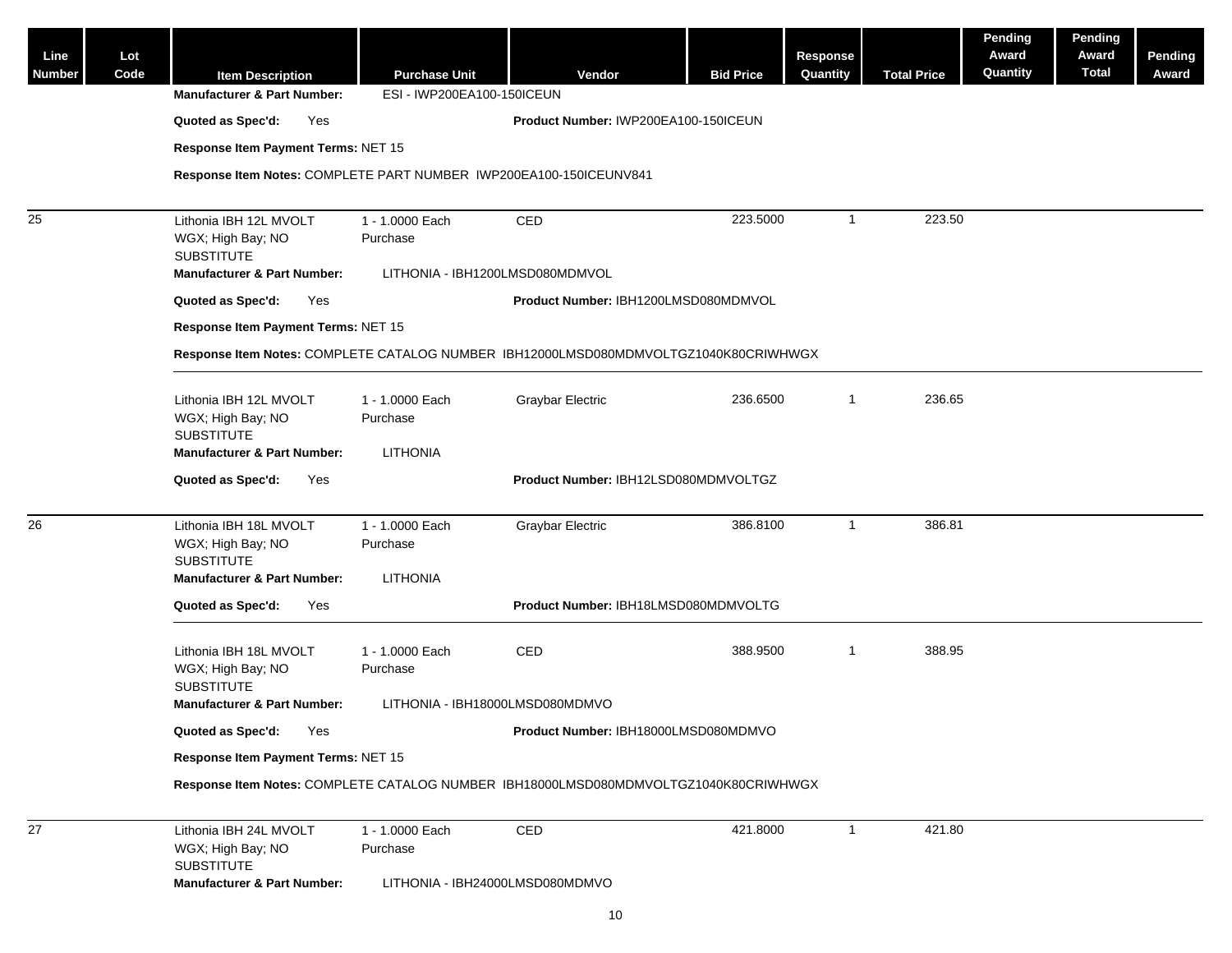| Line<br>Number | Lot<br>Code | <b>Item Description</b><br><b>Manufacturer &amp; Part Number:</b>                    | <b>Purchase Unit</b><br>ESI - IWP200EA100-150ICEUN | Vendor                               | <b>Bid Price</b> | Response<br>Quantity | <b>Total Price</b> | <b>Pending</b><br>Award<br>Quantity | Pending<br>Award<br><b>Total</b> | <b>Pending</b><br>Award |
|----------------|-------------|--------------------------------------------------------------------------------------|----------------------------------------------------|--------------------------------------|------------------|----------------------|--------------------|-------------------------------------|----------------------------------|-------------------------|
|                |             | Quoted as Spec'd:<br>Yes                                                             |                                                    | Product Number: IWP200EA100-150ICEUN |                  |                      |                    |                                     |                                  |                         |
|                |             | Response Item Payment Terms: NET 15                                                  |                                                    |                                      |                  |                      |                    |                                     |                                  |                         |
|                |             | Response Item Notes: COMPLETE PART NUMBER IWP200EA100-150ICEUNV841                   |                                                    |                                      |                  |                      |                    |                                     |                                  |                         |
| 25             |             | Lithonia IBH 12L MVOLT                                                               | 1 - 1.0000 Each                                    | CED                                  | 223.5000         | $\overline{1}$       | 223.50             |                                     |                                  |                         |
|                |             | WGX; High Bay; NO<br><b>SUBSTITUTE</b>                                               | Purchase                                           |                                      |                  |                      |                    |                                     |                                  |                         |
|                |             | <b>Manufacturer &amp; Part Number:</b>                                               | LITHONIA - IBH1200LMSD080MDMVOL                    |                                      |                  |                      |                    |                                     |                                  |                         |
|                |             | Quoted as Spec'd:<br>Yes                                                             |                                                    | Product Number: IBH1200LMSD080MDMVOL |                  |                      |                    |                                     |                                  |                         |
|                |             | Response Item Payment Terms: NET 15                                                  |                                                    |                                      |                  |                      |                    |                                     |                                  |                         |
|                |             | Response Item Notes: COMPLETE CATALOG NUMBER IBH12000LMSD080MDMVOLTGZ1040K80CRIWHWGX |                                                    |                                      |                  |                      |                    |                                     |                                  |                         |
|                |             | Lithonia IBH 12L MVOLT<br>WGX; High Bay; NO<br><b>SUBSTITUTE</b>                     | 1 - 1.0000 Each<br>Purchase                        | <b>Graybar Electric</b>              | 236.6500         | $\overline{1}$       | 236.65             |                                     |                                  |                         |
|                |             | <b>Manufacturer &amp; Part Number:</b>                                               | <b>LITHONIA</b>                                    |                                      |                  |                      |                    |                                     |                                  |                         |
|                |             | Quoted as Spec'd:<br>Yes                                                             |                                                    | Product Number: IBH12LSD080MDMVOLTGZ |                  |                      |                    |                                     |                                  |                         |
|                |             |                                                                                      |                                                    |                                      |                  |                      |                    |                                     |                                  |                         |
| 26             |             | Lithonia IBH 18L MVOLT<br>WGX; High Bay; NO<br><b>SUBSTITUTE</b>                     | 1 - 1.0000 Each<br>Purchase                        | <b>Graybar Electric</b>              | 386.8100         | $\overline{1}$       | 386.81             |                                     |                                  |                         |
|                |             | <b>Manufacturer &amp; Part Number:</b>                                               | <b>LITHONIA</b>                                    |                                      |                  |                      |                    |                                     |                                  |                         |
|                |             | Quoted as Spec'd:<br>Yes                                                             |                                                    | Product Number: IBH18LMSD080MDMVOLTG |                  |                      |                    |                                     |                                  |                         |
|                |             | Lithonia IBH 18L MVOLT<br>WGX; High Bay; NO                                          | 1 - 1.0000 Each<br>Purchase                        | CED                                  | 388.9500         | $\overline{1}$       | 388.95             |                                     |                                  |                         |
|                |             | <b>SUBSTITUTE</b><br><b>Manufacturer &amp; Part Number:</b>                          | LITHONIA - IBH18000LMSD080MDMVO                    |                                      |                  |                      |                    |                                     |                                  |                         |
|                |             | Quoted as Spec'd:<br>Yes                                                             |                                                    | Product Number: IBH18000LMSD080MDMVO |                  |                      |                    |                                     |                                  |                         |
|                |             | Response Item Payment Terms: NET 15                                                  |                                                    |                                      |                  |                      |                    |                                     |                                  |                         |
|                |             | Response Item Notes: COMPLETE CATALOG NUMBER IBH18000LMSD080MDMVOLTGZ1040K80CRIWHWGX |                                                    |                                      |                  |                      |                    |                                     |                                  |                         |
| 27             |             | Lithonia IBH 24L MVOLT<br>WGX; High Bay; NO<br><b>SUBSTITUTE</b>                     | 1 - 1.0000 Each<br>Purchase                        | CED                                  | 421.8000         | $\overline{1}$       | 421.80             |                                     |                                  |                         |
|                |             | <b>Manufacturer &amp; Part Number:</b>                                               | LITHONIA - IBH24000LMSD080MDMVO                    |                                      |                  |                      |                    |                                     |                                  |                         |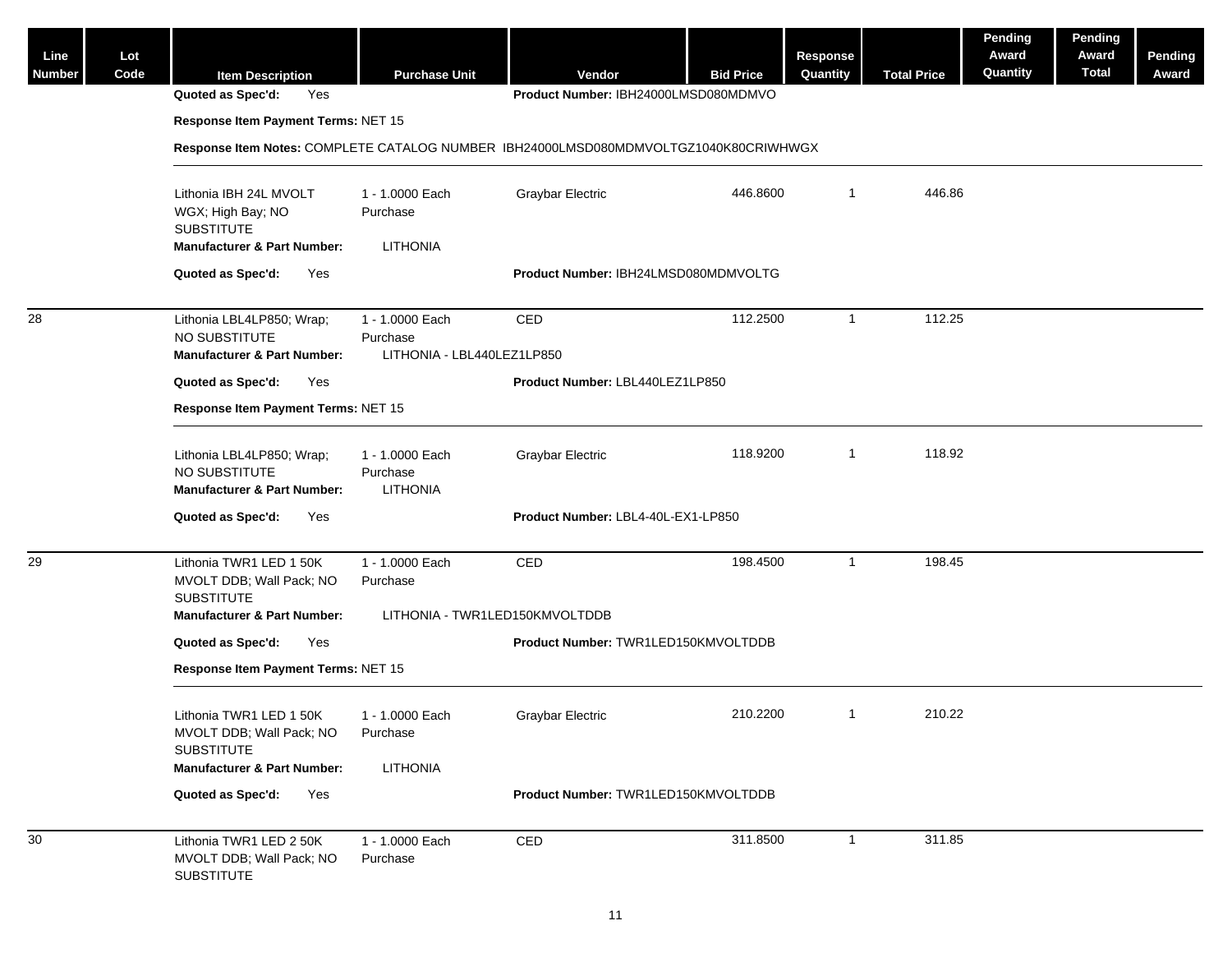| Line<br><b>Number</b> | Lot<br>Code | <b>Item Description</b>                                                              | <b>Purchase Unit</b>                                      | Vendor                               | <b>Bid Price</b> | <b>Response</b><br>Quantity | <b>Total Price</b> | Pending<br>Award<br>Quantity | Pending<br>Award<br><b>Total</b> | Pending<br>Award |
|-----------------------|-------------|--------------------------------------------------------------------------------------|-----------------------------------------------------------|--------------------------------------|------------------|-----------------------------|--------------------|------------------------------|----------------------------------|------------------|
|                       |             | Quoted as Spec'd:<br>Yes                                                             |                                                           | Product Number: IBH24000LMSD080MDMVO |                  |                             |                    |                              |                                  |                  |
|                       |             | Response Item Payment Terms: NET 15                                                  |                                                           |                                      |                  |                             |                    |                              |                                  |                  |
|                       |             | Response Item Notes: COMPLETE CATALOG NUMBER IBH24000LMSD080MDMVOLTGZ1040K80CRIWHWGX |                                                           |                                      |                  |                             |                    |                              |                                  |                  |
|                       |             | Lithonia IBH 24L MVOLT<br>WGX; High Bay; NO<br><b>SUBSTITUTE</b>                     | 1 - 1.0000 Each<br>Purchase                               | Graybar Electric                     | 446.8600         | $\mathbf{1}$                | 446.86             |                              |                                  |                  |
|                       |             | <b>Manufacturer &amp; Part Number:</b>                                               | <b>LITHONIA</b>                                           |                                      |                  |                             |                    |                              |                                  |                  |
|                       |             | Quoted as Spec'd:<br>Yes                                                             |                                                           | Product Number: IBH24LMSD080MDMVOLTG |                  |                             |                    |                              |                                  |                  |
| 28                    |             | Lithonia LBL4LP850; Wrap;<br>NO SUBSTITUTE<br><b>Manufacturer &amp; Part Number:</b> | 1 - 1.0000 Each<br>Purchase<br>LITHONIA - LBL440LEZ1LP850 | CED                                  | 112.2500         | $\mathbf{1}$                | 112.25             |                              |                                  |                  |
|                       |             | Quoted as Spec'd:<br>Yes                                                             |                                                           | Product Number: LBL440LEZ1LP850      |                  |                             |                    |                              |                                  |                  |
|                       |             | Response Item Payment Terms: NET 15                                                  |                                                           |                                      |                  |                             |                    |                              |                                  |                  |
|                       |             |                                                                                      |                                                           |                                      |                  |                             |                    |                              |                                  |                  |
|                       |             | Lithonia LBL4LP850; Wrap;<br>NO SUBSTITUTE<br><b>Manufacturer &amp; Part Number:</b> | 1 - 1.0000 Each<br>Purchase<br><b>LITHONIA</b>            | <b>Graybar Electric</b>              | 118.9200         | $\overline{1}$              | 118.92             |                              |                                  |                  |
|                       |             | Quoted as Spec'd:<br>Yes                                                             |                                                           | Product Number: LBL4-40L-EX1-LP850   |                  |                             |                    |                              |                                  |                  |
| 29                    |             | Lithonia TWR1 LED 1 50K<br>MVOLT DDB; Wall Pack; NO<br><b>SUBSTITUTE</b>             | 1 - 1.0000 Each<br>Purchase                               | CED                                  | 198.4500         | $\mathbf{1}$                | 198.45             |                              |                                  |                  |
|                       |             | <b>Manufacturer &amp; Part Number:</b>                                               | LITHONIA - TWR1LED150KMVOLTDDB                            |                                      |                  |                             |                    |                              |                                  |                  |
|                       |             | Quoted as Spec'd:<br>Yes                                                             |                                                           | Product Number: TWR1LED150KMVOLTDDB  |                  |                             |                    |                              |                                  |                  |
|                       |             | Response Item Payment Terms: NET 15                                                  |                                                           |                                      |                  |                             |                    |                              |                                  |                  |
|                       |             | Lithonia TWR1 LED 1 50K<br>MVOLT DDB; Wall Pack; NO<br><b>SUBSTITUTE</b>             | 1 - 1.0000 Each<br>Purchase                               | Graybar Electric                     | 210.2200         | $\mathbf{1}$                | 210.22             |                              |                                  |                  |
|                       |             | <b>Manufacturer &amp; Part Number:</b>                                               | LITHONIA                                                  |                                      |                  |                             |                    |                              |                                  |                  |
|                       |             | Quoted as Spec'd:<br>Yes                                                             |                                                           | Product Number: TWR1LED150KMVOLTDDB  |                  |                             |                    |                              |                                  |                  |
| 30                    |             | Lithonia TWR1 LED 2 50K<br>MVOLT DDB; Wall Pack; NO<br><b>SUBSTITUTE</b>             | 1 - 1.0000 Each<br>Purchase                               | CED                                  | 311.8500         | $\mathbf{1}$                | 311.85             |                              |                                  |                  |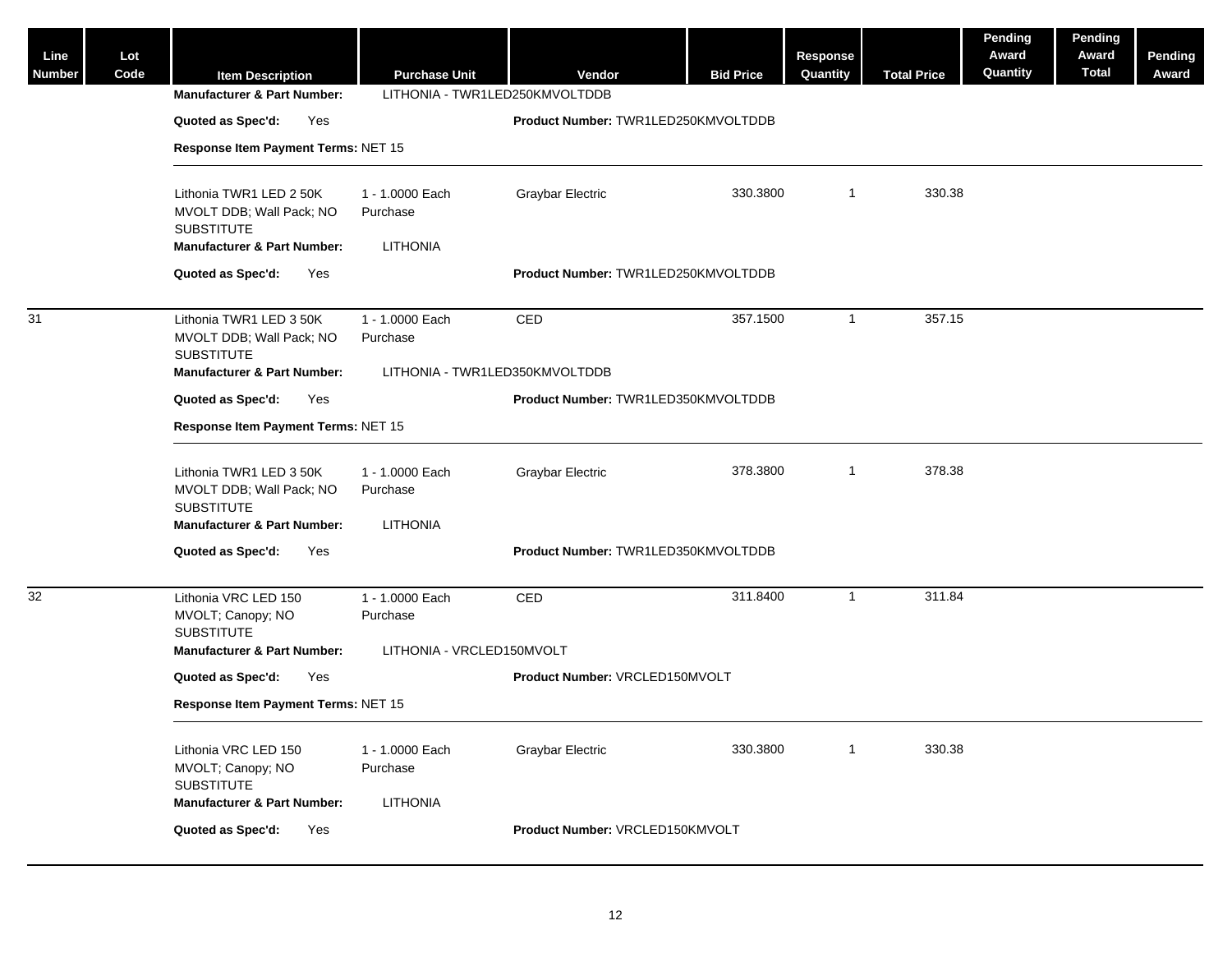| Line<br><b>Number</b> | Lot<br>Code | <b>Item Description</b><br><b>Manufacturer &amp; Part Number:</b>                                                  | <b>Purchase Unit</b><br>LITHONIA - TWR1LED250KMVOLTDDB | Vendor                              | <b>Bid Price</b> | <b>Response</b><br>Quantity | <b>Total Price</b> | Pending<br>Award<br>Quantity | Pending<br>Award<br><b>Total</b> | Pending<br>Award |
|-----------------------|-------------|--------------------------------------------------------------------------------------------------------------------|--------------------------------------------------------|-------------------------------------|------------------|-----------------------------|--------------------|------------------------------|----------------------------------|------------------|
|                       |             | Quoted as Spec'd:<br>Yes                                                                                           |                                                        | Product Number: TWR1LED250KMVOLTDDB |                  |                             |                    |                              |                                  |                  |
|                       |             | Response Item Payment Terms: NET 15                                                                                |                                                        |                                     |                  |                             |                    |                              |                                  |                  |
|                       |             |                                                                                                                    |                                                        |                                     |                  |                             |                    |                              |                                  |                  |
|                       |             | Lithonia TWR1 LED 2 50K<br>MVOLT DDB; Wall Pack; NO<br><b>SUBSTITUTE</b>                                           | 1 - 1.0000 Each<br>Purchase                            | <b>Graybar Electric</b>             | 330.3800         | $\overline{1}$              | 330.38             |                              |                                  |                  |
|                       |             | <b>Manufacturer &amp; Part Number:</b>                                                                             | <b>LITHONIA</b>                                        |                                     |                  |                             |                    |                              |                                  |                  |
|                       |             | Quoted as Spec'd:<br>Yes                                                                                           |                                                        | Product Number: TWR1LED250KMVOLTDDB |                  |                             |                    |                              |                                  |                  |
| 31                    |             | Lithonia TWR1 LED 3 50K<br>MVOLT DDB; Wall Pack; NO<br><b>SUBSTITUTE</b>                                           | 1 - 1.0000 Each<br>Purchase                            | CED                                 | 357.1500         | $\overline{1}$              | 357.15             |                              |                                  |                  |
|                       |             | <b>Manufacturer &amp; Part Number:</b>                                                                             | LITHONIA - TWR1LED350KMVOLTDDB                         |                                     |                  |                             |                    |                              |                                  |                  |
|                       |             | Quoted as Spec'd:<br>Yes                                                                                           |                                                        | Product Number: TWR1LED350KMVOLTDDB |                  |                             |                    |                              |                                  |                  |
|                       |             | Response Item Payment Terms: NET 15                                                                                |                                                        |                                     |                  |                             |                    |                              |                                  |                  |
|                       |             | Lithonia TWR1 LED 3 50K<br>MVOLT DDB; Wall Pack; NO<br><b>SUBSTITUTE</b><br><b>Manufacturer &amp; Part Number:</b> | 1 - 1.0000 Each<br>Purchase<br><b>LITHONIA</b>         | <b>Graybar Electric</b>             | 378.3800         | $\overline{1}$              | 378.38             |                              |                                  |                  |
|                       |             | Quoted as Spec'd:<br>Yes                                                                                           |                                                        | Product Number: TWR1LED350KMVOLTDDB |                  |                             |                    |                              |                                  |                  |
|                       |             |                                                                                                                    |                                                        |                                     |                  |                             |                    |                              |                                  |                  |
| 32                    |             | Lithonia VRC LED 150<br>MVOLT; Canopy; NO<br><b>SUBSTITUTE</b>                                                     | 1 - 1.0000 Each<br>Purchase                            | CED                                 | 311.8400         | $\overline{1}$              | 311.84             |                              |                                  |                  |
|                       |             | <b>Manufacturer &amp; Part Number:</b>                                                                             | LITHONIA - VRCLED150MVOLT                              |                                     |                  |                             |                    |                              |                                  |                  |
|                       |             | Quoted as Spec'd:<br>Yes                                                                                           |                                                        | Product Number: VRCLED150MVOLT      |                  |                             |                    |                              |                                  |                  |
|                       |             | Response Item Payment Terms: NET 15                                                                                |                                                        |                                     |                  |                             |                    |                              |                                  |                  |
|                       |             | Lithonia VRC LED 150<br>MVOLT; Canopy; NO<br><b>SUBSTITUTE</b><br><b>Manufacturer &amp; Part Number:</b>           | 1 - 1.0000 Each<br>Purchase<br><b>LITHONIA</b>         | <b>Graybar Electric</b>             | 330.3800         | $\overline{1}$              | 330.38             |                              |                                  |                  |
|                       |             | Quoted as Spec'd:<br>Yes                                                                                           |                                                        | Product Number: VRCLED150KMVOLT     |                  |                             |                    |                              |                                  |                  |
|                       |             |                                                                                                                    |                                                        |                                     |                  |                             |                    |                              |                                  |                  |

12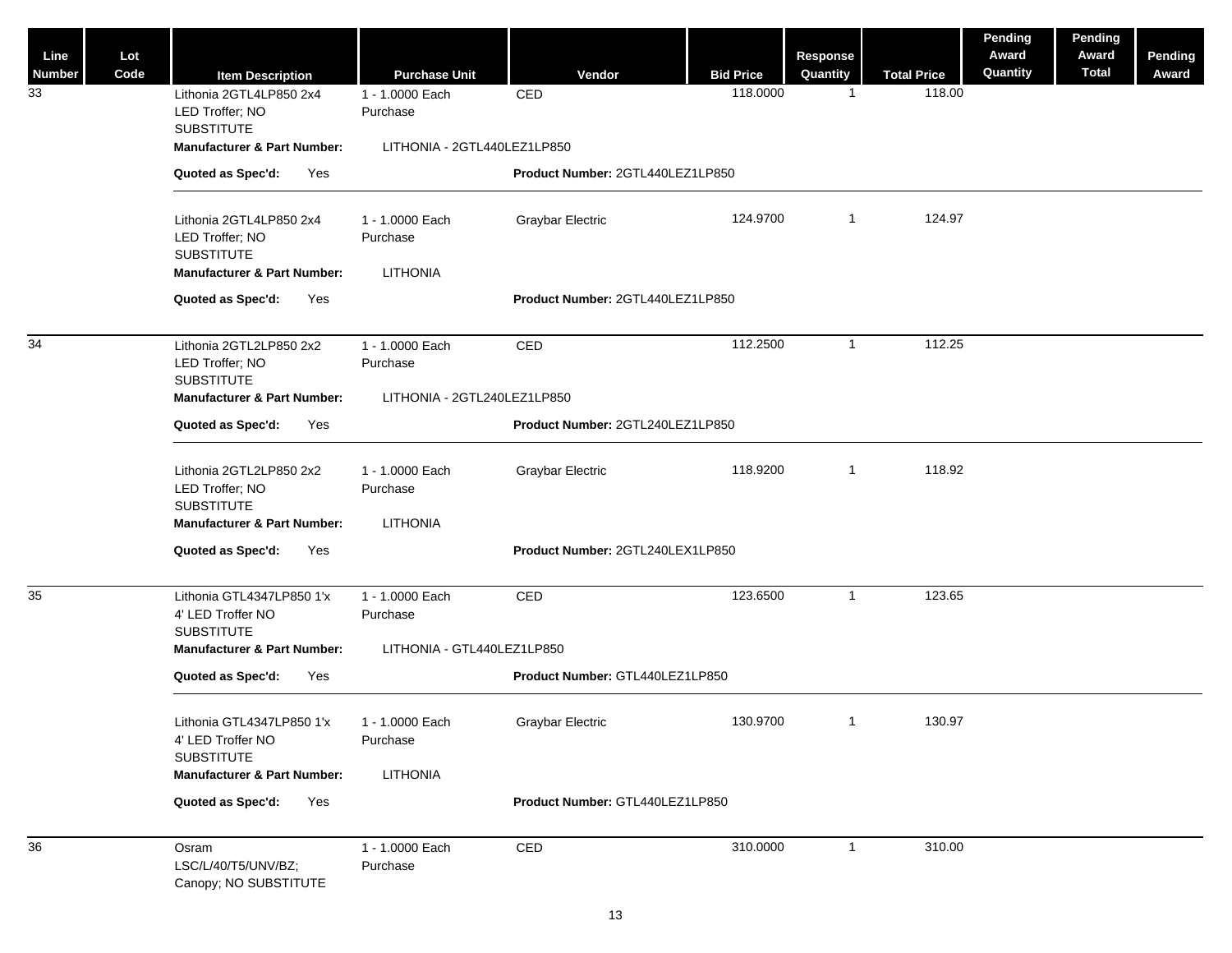| Line<br><b>Number</b> | Lot<br>Code | <b>Item Description</b>                                                                                       | <b>Purchase Unit</b>                    | Vendor                           | <b>Bid Price</b> | Response<br>Quantity | <b>Total Price</b> | Pending<br>Award<br>Quantity | Pending<br>Award<br><b>Total</b> | Pending<br>Award |
|-----------------------|-------------|---------------------------------------------------------------------------------------------------------------|-----------------------------------------|----------------------------------|------------------|----------------------|--------------------|------------------------------|----------------------------------|------------------|
| 33                    |             | Lithonia 2GTL4LP850 2x4<br>LED Troffer; NO<br><b>SUBSTITUTE</b>                                               | 1 - 1.0000 Each<br>Purchase             | CED                              | 118.0000         | $\mathbf{1}$         | 118.00             |                              |                                  |                  |
|                       |             | <b>Manufacturer &amp; Part Number:</b>                                                                        | LITHONIA - 2GTL440LEZ1LP850             |                                  |                  |                      |                    |                              |                                  |                  |
|                       |             | Quoted as Spec'd:<br>Yes                                                                                      |                                         | Product Number: 2GTL440LEZ1LP850 |                  |                      |                    |                              |                                  |                  |
|                       |             | Lithonia 2GTL4LP850 2x4<br>LED Troffer; NO<br><b>SUBSTITUTE</b>                                               | 1 - 1.0000 Each<br>Purchase             | <b>Graybar Electric</b>          | 124.9700         | $\mathbf{1}$         | 124.97             |                              |                                  |                  |
|                       |             | <b>Manufacturer &amp; Part Number:</b>                                                                        | <b>LITHONIA</b>                         |                                  |                  |                      |                    |                              |                                  |                  |
|                       |             | Quoted as Spec'd:<br>Yes                                                                                      |                                         | Product Number: 2GTL440LEZ1LP850 |                  |                      |                    |                              |                                  |                  |
| 34                    |             | Lithonia 2GTL2LP850 2x2<br>LED Troffer; NO<br><b>SUBSTITUTE</b>                                               | 1 - 1.0000 Each<br>Purchase             | CED                              | 112.2500         | $\mathbf{1}$         | 112.25             |                              |                                  |                  |
|                       |             | <b>Manufacturer &amp; Part Number:</b>                                                                        | LITHONIA - 2GTL240LEZ1LP850             |                                  |                  |                      |                    |                              |                                  |                  |
|                       |             | Quoted as Spec'd:<br>Yes                                                                                      |                                         | Product Number: 2GTL240LEZ1LP850 |                  |                      |                    |                              |                                  |                  |
|                       |             | Lithonia 2GTL2LP850 2x2<br>LED Troffer; NO<br><b>SUBSTITUTE</b>                                               | 1 - 1.0000 Each<br>Purchase             | <b>Graybar Electric</b>          | 118.9200         | $\mathbf{1}$         | 118.92             |                              |                                  |                  |
|                       |             | <b>Manufacturer &amp; Part Number:</b>                                                                        | <b>LITHONIA</b>                         |                                  |                  |                      |                    |                              |                                  |                  |
|                       |             | Quoted as Spec'd:<br>Yes                                                                                      |                                         | Product Number: 2GTL240LEX1LP850 |                  |                      |                    |                              |                                  |                  |
| 35                    |             | Lithonia GTL4347LP850 1'x<br>4' LED Troffer NO<br><b>SUBSTITUTE</b>                                           | 1 - 1.0000 Each<br>Purchase             | CED                              | 123.6500         | $\mathbf{1}$         | 123.65             |                              |                                  |                  |
|                       |             | <b>Manufacturer &amp; Part Number:</b>                                                                        | LITHONIA - GTL440LEZ1LP850              |                                  |                  |                      |                    |                              |                                  |                  |
|                       |             | Quoted as Spec'd:<br>Yes                                                                                      |                                         | Product Number: GTL440LEZ1LP850  |                  |                      |                    |                              |                                  |                  |
|                       |             | Lithonia GTL4347LP850 1'x<br>4' LED Troffer NO<br><b>SUBSTITUTE</b><br><b>Manufacturer &amp; Part Number:</b> | 1 - 1.0000 Each<br>Purchase<br>LITHONIA | <b>Graybar Electric</b>          | 130.9700         | $\mathbf{1}$         | 130.97             |                              |                                  |                  |
|                       |             | Quoted as Spec'd:<br>Yes                                                                                      |                                         | Product Number: GTL440LEZ1LP850  |                  |                      |                    |                              |                                  |                  |
| 36                    |             | Osram                                                                                                         | 1 - 1.0000 Each                         | CED                              | 310.0000         | $\mathbf{1}$         | 310.00             |                              |                                  |                  |
|                       |             | LSC/L/40/T5/UNV/BZ;<br>Canopy; NO SUBSTITUTE                                                                  | Purchase                                |                                  |                  |                      |                    |                              |                                  |                  |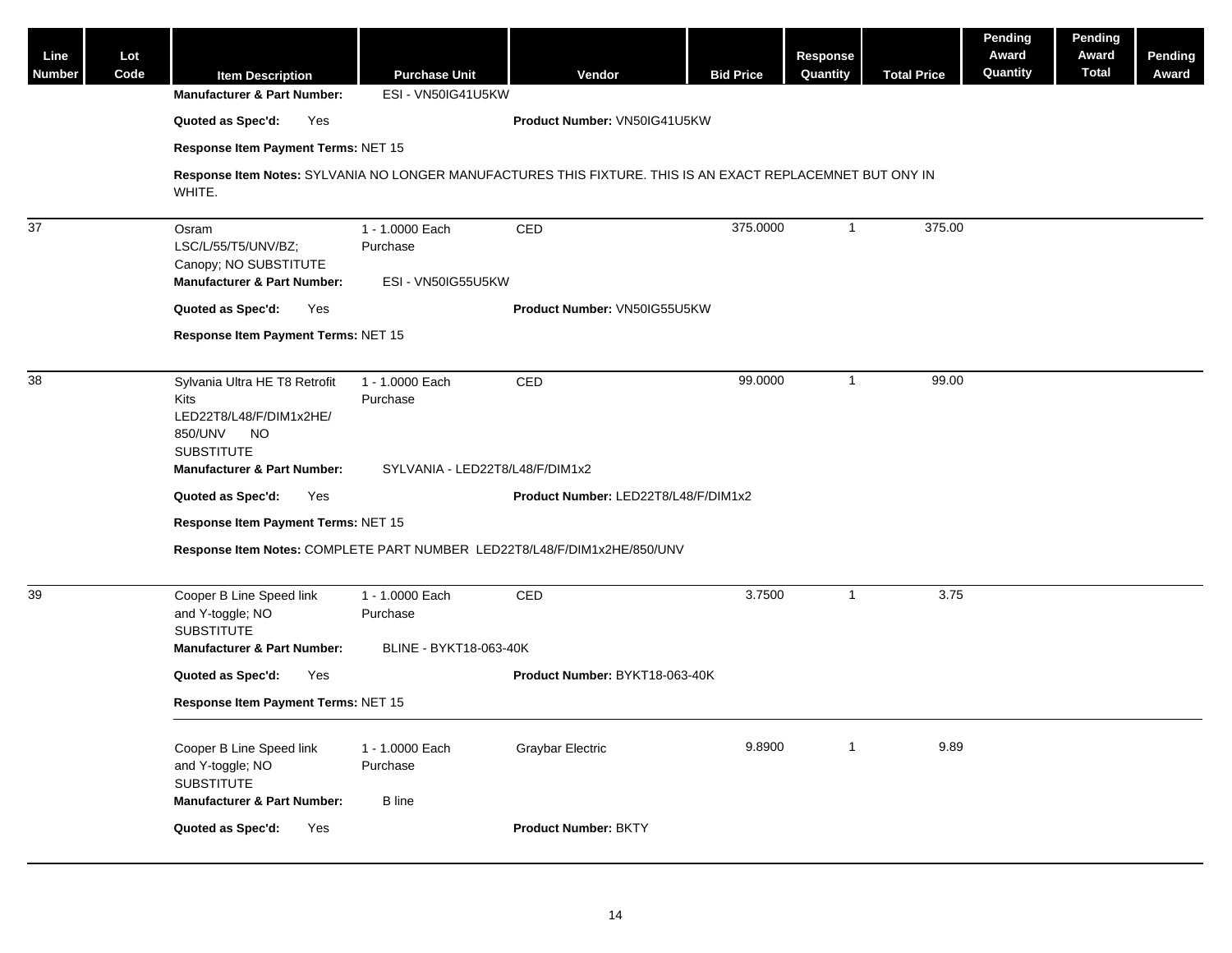| Line<br><b>Number</b> | Lot<br>Code | <b>Item Description</b>                                                                                                                          | <b>Purchase Unit</b>                                           | Vendor                               | <b>Bid Price</b> | Response<br>Quantity | <b>Total Price</b> | Pending<br>Award<br>Quantity | Pending<br>Award<br><b>Total</b> | <b>Pending</b><br>Award |  |  |
|-----------------------|-------------|--------------------------------------------------------------------------------------------------------------------------------------------------|----------------------------------------------------------------|--------------------------------------|------------------|----------------------|--------------------|------------------------------|----------------------------------|-------------------------|--|--|
|                       |             | <b>Manufacturer &amp; Part Number:</b>                                                                                                           | ESI - VN50IG41U5KW                                             |                                      |                  |                      |                    |                              |                                  |                         |  |  |
|                       |             | Quoted as Spec'd:<br>Yes                                                                                                                         |                                                                | Product Number: VN50IG41U5KW         |                  |                      |                    |                              |                                  |                         |  |  |
|                       |             | Response Item Payment Terms: NET 15                                                                                                              |                                                                |                                      |                  |                      |                    |                              |                                  |                         |  |  |
|                       |             | Response Item Notes: SYLVANIA NO LONGER MANUFACTURES THIS FIXTURE. THIS IS AN EXACT REPLACEMNET BUT ONY IN<br>WHITE.                             |                                                                |                                      |                  |                      |                    |                              |                                  |                         |  |  |
| $\overline{37}$       |             | Osram<br>LSC/L/55/T5/UNV/BZ;<br>Canopy; NO SUBSTITUTE<br><b>Manufacturer &amp; Part Number:</b>                                                  | 1 - 1.0000 Each<br>Purchase<br>ESI - VN50IG55U5KW              | CED                                  | 375.0000         | $\mathbf{1}$         | 375.00             |                              |                                  |                         |  |  |
|                       |             | Quoted as Spec'd:<br>Yes                                                                                                                         |                                                                | Product Number: VN50IG55U5KW         |                  |                      |                    |                              |                                  |                         |  |  |
|                       |             | Response Item Payment Terms: NET 15                                                                                                              |                                                                |                                      |                  |                      |                    |                              |                                  |                         |  |  |
| 38                    |             | Sylvania Ultra HE T8 Retrofit<br>Kits<br>LED22T8/L48/F/DIM1x2HE/<br>850/UNV<br>NO<br><b>SUBSTITUTE</b><br><b>Manufacturer &amp; Part Number:</b> | 1 - 1.0000 Each<br>Purchase<br>SYLVANIA - LED22T8/L48/F/DIM1x2 | CED                                  | 99.0000          | $\mathbf{1}$         | 99.00              |                              |                                  |                         |  |  |
|                       |             | Quoted as Spec'd:<br>Yes                                                                                                                         |                                                                | Product Number: LED22T8/L48/F/DIM1x2 |                  |                      |                    |                              |                                  |                         |  |  |
|                       |             | Response Item Payment Terms: NET 15                                                                                                              |                                                                |                                      |                  |                      |                    |                              |                                  |                         |  |  |
|                       |             | Response Item Notes: COMPLETE PART NUMBER LED22T8/L48/F/DIM1x2HE/850/UNV                                                                         |                                                                |                                      |                  |                      |                    |                              |                                  |                         |  |  |
| 39                    |             | Cooper B Line Speed link<br>and Y-toggle; NO<br><b>SUBSTITUTE</b>                                                                                | 1 - 1.0000 Each<br>Purchase<br>BLINE - BYKT18-063-40K          | CED                                  | 3.7500           | $\mathbf{1}$         | 3.75               |                              |                                  |                         |  |  |
|                       |             | <b>Manufacturer &amp; Part Number:</b>                                                                                                           |                                                                |                                      |                  |                      |                    |                              |                                  |                         |  |  |
|                       |             | Quoted as Spec'd:<br>Yes                                                                                                                         |                                                                | Product Number: BYKT18-063-40K       |                  |                      |                    |                              |                                  |                         |  |  |
|                       |             | Response Item Payment Terms: NET 15                                                                                                              |                                                                |                                      |                  |                      |                    |                              |                                  |                         |  |  |
|                       |             | Cooper B Line Speed link<br>and Y-toggle; NO<br><b>SUBSTITUTE</b><br><b>Manufacturer &amp; Part Number:</b>                                      | 1 - 1.0000 Each<br>Purchase<br><b>B</b> line                   | Graybar Electric                     | 9.8900           | $\mathbf{1}$         | 9.89               |                              |                                  |                         |  |  |
|                       |             | Quoted as Spec'd:<br>Yes                                                                                                                         |                                                                | Product Number: BKTY                 |                  |                      |                    |                              |                                  |                         |  |  |
|                       |             |                                                                                                                                                  |                                                                |                                      |                  |                      |                    |                              |                                  |                         |  |  |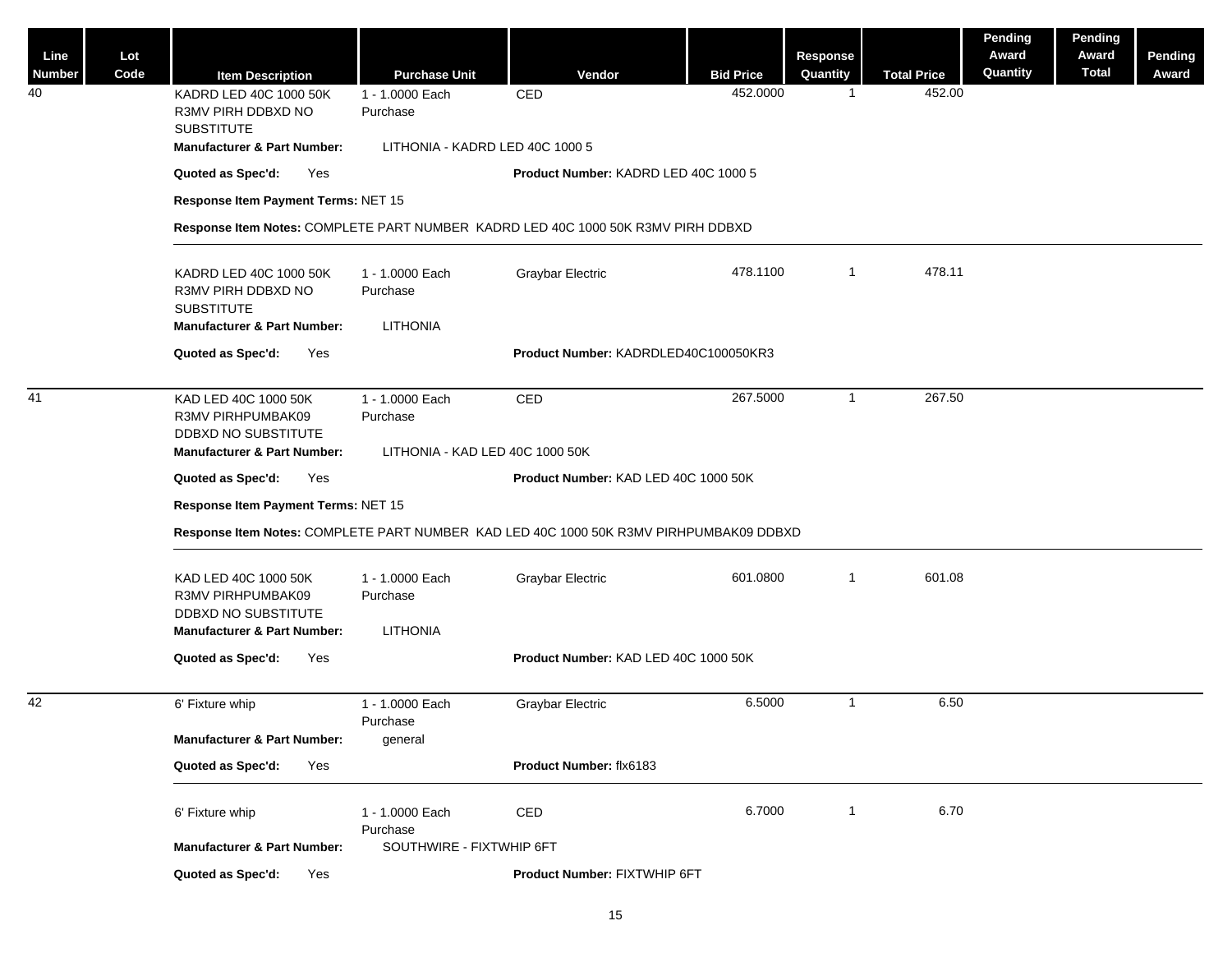| Line<br>Number | Lot<br>Code | <b>Item Description</b>                                                                                     | <b>Purchase Unit</b>                           | Vendor                               | <b>Bid Price</b> | Response<br>Quantity | <b>Total Price</b> | <b>Pending</b><br>Award<br>Quantity | Pending<br>Award<br><b>Total</b> | Pending<br>Award |  |  |
|----------------|-------------|-------------------------------------------------------------------------------------------------------------|------------------------------------------------|--------------------------------------|------------------|----------------------|--------------------|-------------------------------------|----------------------------------|------------------|--|--|
| 40             |             | KADRD LED 40C 1000 50K<br>R3MV PIRH DDBXD NO<br><b>SUBSTITUTE</b>                                           | 1 - 1.0000 Each<br>Purchase                    | CED                                  | 452.0000         | $\overline{1}$       | 452.00             |                                     |                                  |                  |  |  |
|                |             | <b>Manufacturer &amp; Part Number:</b>                                                                      | LITHONIA - KADRD LED 40C 1000 5                |                                      |                  |                      |                    |                                     |                                  |                  |  |  |
|                |             | Quoted as Spec'd:<br>Yes                                                                                    |                                                | Product Number: KADRD LED 40C 1000 5 |                  |                      |                    |                                     |                                  |                  |  |  |
|                |             | Response Item Payment Terms: NET 15                                                                         |                                                |                                      |                  |                      |                    |                                     |                                  |                  |  |  |
|                |             | Response Item Notes: COMPLETE PART NUMBER KADRD LED 40C 1000 50K R3MV PIRH DDBXD                            |                                                |                                      |                  |                      |                    |                                     |                                  |                  |  |  |
|                |             | KADRD LED 40C 1000 50K<br>R3MV PIRH DDBXD NO<br><b>SUBSTITUTE</b><br><b>Manufacturer &amp; Part Number:</b> | 1 - 1.0000 Each<br>Purchase<br><b>LITHONIA</b> | <b>Graybar Electric</b>              | 478.1100         | $\overline{1}$       | 478.11             |                                     |                                  |                  |  |  |
|                |             | Quoted as Spec'd:<br>Yes                                                                                    |                                                | Product Number: KADRDLED40C100050KR3 |                  |                      |                    |                                     |                                  |                  |  |  |
|                |             |                                                                                                             |                                                |                                      |                  |                      |                    |                                     |                                  |                  |  |  |
| 41             |             | KAD LED 40C 1000 50K<br>R3MV PIRHPUMBAK09<br>DDBXD NO SUBSTITUTE                                            | 1 - 1.0000 Each<br>Purchase                    | CED                                  | 267.5000         | $\overline{1}$       | 267.50             |                                     |                                  |                  |  |  |
|                |             | <b>Manufacturer &amp; Part Number:</b>                                                                      | LITHONIA - KAD LED 40C 1000 50K                |                                      |                  |                      |                    |                                     |                                  |                  |  |  |
|                |             | Quoted as Spec'd:<br>Yes                                                                                    |                                                | Product Number: KAD LED 40C 1000 50K |                  |                      |                    |                                     |                                  |                  |  |  |
|                |             | Response Item Payment Terms: NET 15                                                                         |                                                |                                      |                  |                      |                    |                                     |                                  |                  |  |  |
|                |             | Response Item Notes: COMPLETE PART NUMBER KAD LED 40C 1000 50K R3MV PIRHPUMBAK09 DDBXD                      |                                                |                                      |                  |                      |                    |                                     |                                  |                  |  |  |
|                |             | KAD LED 40C 1000 50K<br>R3MV PIRHPUMBAK09<br>DDBXD NO SUBSTITUTE<br><b>Manufacturer &amp; Part Number:</b>  | 1 - 1.0000 Each<br>Purchase<br><b>LITHONIA</b> | <b>Graybar Electric</b>              | 601.0800         | $\overline{1}$       | 601.08             |                                     |                                  |                  |  |  |
|                |             | Quoted as Spec'd:<br>Yes                                                                                    |                                                | Product Number: KAD LED 40C 1000 50K |                  |                      |                    |                                     |                                  |                  |  |  |
|                |             |                                                                                                             |                                                |                                      |                  |                      |                    |                                     |                                  |                  |  |  |
| 42             |             | 6' Fixture whip                                                                                             | 1 - 1.0000 Each                                | Graybar Electric                     | 6.5000           | $\overline{1}$       | 6.50               |                                     |                                  |                  |  |  |
|                |             | <b>Manufacturer &amp; Part Number:</b>                                                                      | Purchase<br>general                            |                                      |                  |                      |                    |                                     |                                  |                  |  |  |
|                |             | Quoted as Spec'd:<br>Yes                                                                                    |                                                | Product Number: flx6183              |                  |                      |                    |                                     |                                  |                  |  |  |
|                |             |                                                                                                             |                                                |                                      |                  |                      |                    |                                     |                                  |                  |  |  |
|                |             | 6' Fixture whip                                                                                             | 1 - 1.0000 Each<br>Purchase                    | CED                                  | 6.7000           | $\overline{1}$       | 6.70               |                                     |                                  |                  |  |  |
|                |             | <b>Manufacturer &amp; Part Number:</b>                                                                      | SOUTHWIRE - FIXTWHIP 6FT                       |                                      |                  |                      |                    |                                     |                                  |                  |  |  |
|                |             | Quoted as Spec'd:<br>Yes                                                                                    |                                                | Product Number: FIXTWHIP 6FT         |                  |                      |                    |                                     |                                  |                  |  |  |